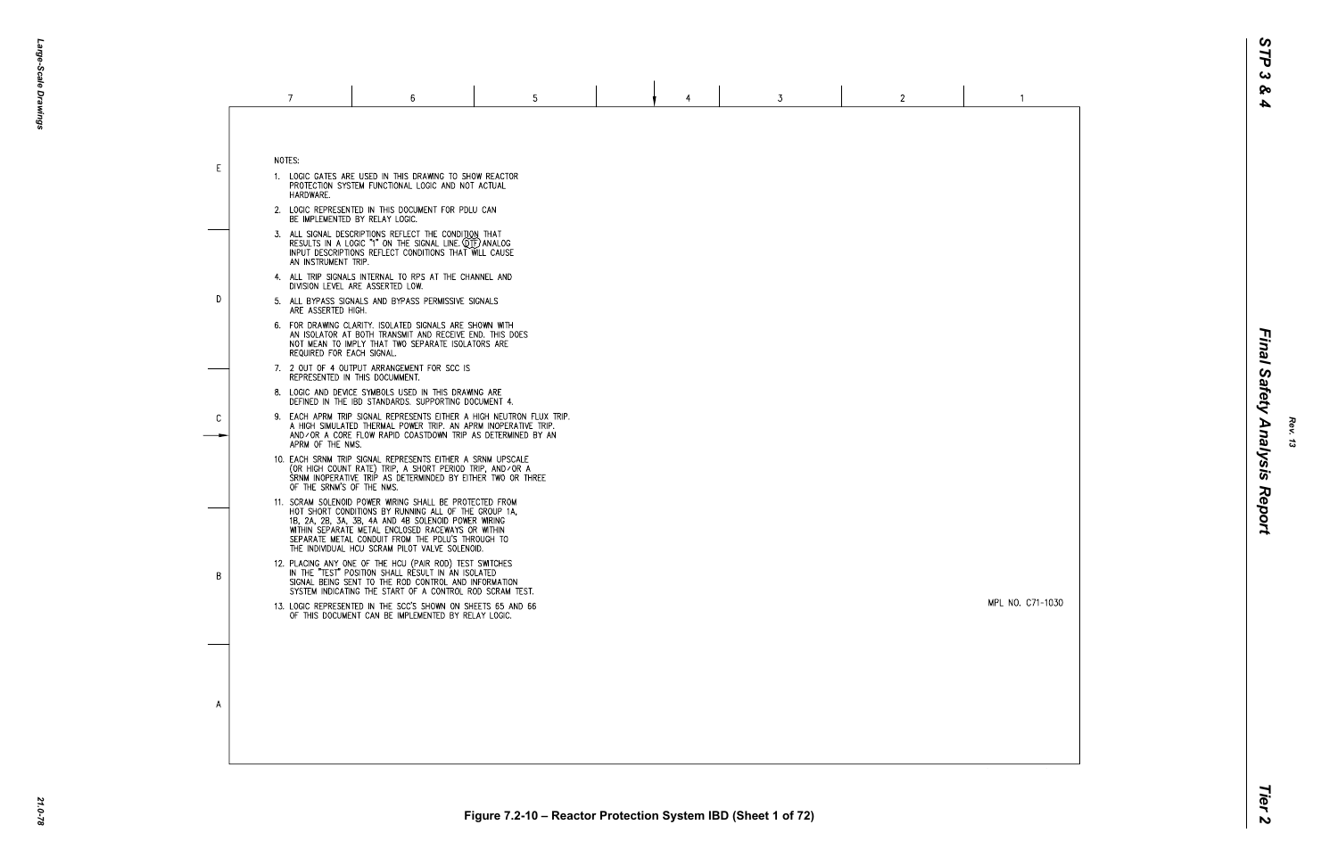|    |        | $\overline{7}$                                                         | 6                                                                                                                                                                                                                                                                                                                                                                                                                                                                                                                                                                                               | 5 | 4 | 3 | $\mathbf{2}$ |
|----|--------|------------------------------------------------------------------------|-------------------------------------------------------------------------------------------------------------------------------------------------------------------------------------------------------------------------------------------------------------------------------------------------------------------------------------------------------------------------------------------------------------------------------------------------------------------------------------------------------------------------------------------------------------------------------------------------|---|---|---|--------------|
| E. | NOTES: | HARDWARE.                                                              | 1. LOGIC GATES ARE USED IN THIS DRAWING TO SHOW REACTOR<br>PROTECTION SYSTEM FUNCTIONAL LOGIC AND NOT ACTUAL<br>2. LOGIC REPRESENTED IN THIS DOCUMENT FOR PDLU CAN                                                                                                                                                                                                                                                                                                                                                                                                                              |   |   |   |              |
| D. |        | AN INSTRUMENT TRIP.<br>ARE ASSERTED HIGH.<br>REQUIRED FOR EACH SIGNAL. | BE IMPLEMENTED BY RELAY LOGIC.<br>3. ALL SIGNAL DESCRIPTIONS REFLECT THE CONDITION THAT<br>RESULTS IN A LOGIC "1" ON THE SIGNAL LINE. (OTF) ANALOG<br>INPUT DESCRIPTIONS REFLECT CONDITIONS THAT WILL CAUSE<br>4. ALL TRIP SIGNALS INTERNAL TO RPS AT THE CHANNEL AND<br>DIVISION LEVEL ARE ASSERTED LOW.<br>5. ALL BYPASS SIGNALS AND BYPASS PERMISSIVE SIGNALS<br>6. FOR DRAWING CLARITY. ISOLATED SIGNALS ARE SHOWN WITH<br>AN ISOLATOR AT BOTH TRANSMIT AND RECEIVE END. THIS DOES<br>NOT MEAN TO IMPLY THAT TWO SEPARATE ISOLATORS ARE                                                     |   |   |   |              |
| C  |        | APRM OF THE NMS.                                                       | 7. 2 OUT OF 4 OUTPUT ARRANGEMENT FOR SCC IS<br>REPRESENTED IN THIS DOCUMMENT.<br>8. LOGIC AND DEVICE SYMBOLS USED IN THIS DRAWING ARE<br>DEFINED IN THE IBD STANDARDS. SUPPORTING DOCUMENT 4.<br>9. EACH APRM TRIP SIGNAL REPRESENTS EITHER A HIGH NEUTRON FLUX TRIP.<br>A HIGH SIMULATED THERMAL POWER TRIP. AN APRM INOPERATIVE TRIP.<br>AND/OR A CORE FLOW RAPID COASTDOWN TRIP AS DETERMINED BY AN<br>10. EACH SRNM TRIP SIGNAL REPRESENTS EITHER A SRNM UPSCALE<br>(OR HIGH COUNT RATE) TRIP, A SHORT PERIOD TRIP, AND/OR A<br>SRNM INOPERATIVE TRIP AS DETERMINDED BY EITHER TWO OR THREE |   |   |   |              |
|    |        | OF THE SRNM'S OF THE NMS.                                              | 11. SCRAM SOLENOID POWER WIRING SHALL BE PROTECTED FROM<br>HOT SHORT CONDITIONS BY RUNNING ALL OF THE GROUP 1A.<br>1B, 2A, 2B, 3A, 3B, 4A AND 4B SOLENOID POWER WIRING<br>WITHIN SEPARATE METAL ENCLOSED RACEWAYS OR WITHIN<br>SEPARATE METAL CONDUIT FROM THE PDLU'S THROUGH TO<br>THE INDIVIDUAL HCU SCRAM PILOT VALVE SOLENOID.                                                                                                                                                                                                                                                              |   |   |   |              |
| B  |        |                                                                        | 12. PLACING ANY ONE OF THE HCU (PAIR ROD) TEST SWITCHES<br>IN THE "TEST" POSITION SHALL RESULT IN AN ISOLATED<br>SIGNAL BEING SENT TO THE ROD CONTROL AND INFORMATION<br>SYSTEM INDICATING THE START OF A CONTROL ROD SCRAM TEST.<br>13. LOGIC REPRESENTED IN THE SCC'S SHOWN ON SHEETS 65 AND 66<br>OF THIS DOCUMENT CAN BE IMPLEMENTED BY RELAY LOGIC.                                                                                                                                                                                                                                        |   |   |   |              |
|    |        |                                                                        |                                                                                                                                                                                                                                                                                                                                                                                                                                                                                                                                                                                                 |   |   |   |              |
| A  |        |                                                                        |                                                                                                                                                                                                                                                                                                                                                                                                                                                                                                                                                                                                 |   |   |   |              |

*Rev. 13*

MPL NO. C71-1030

 $\overline{1}$ 

Tier<sub>2</sub>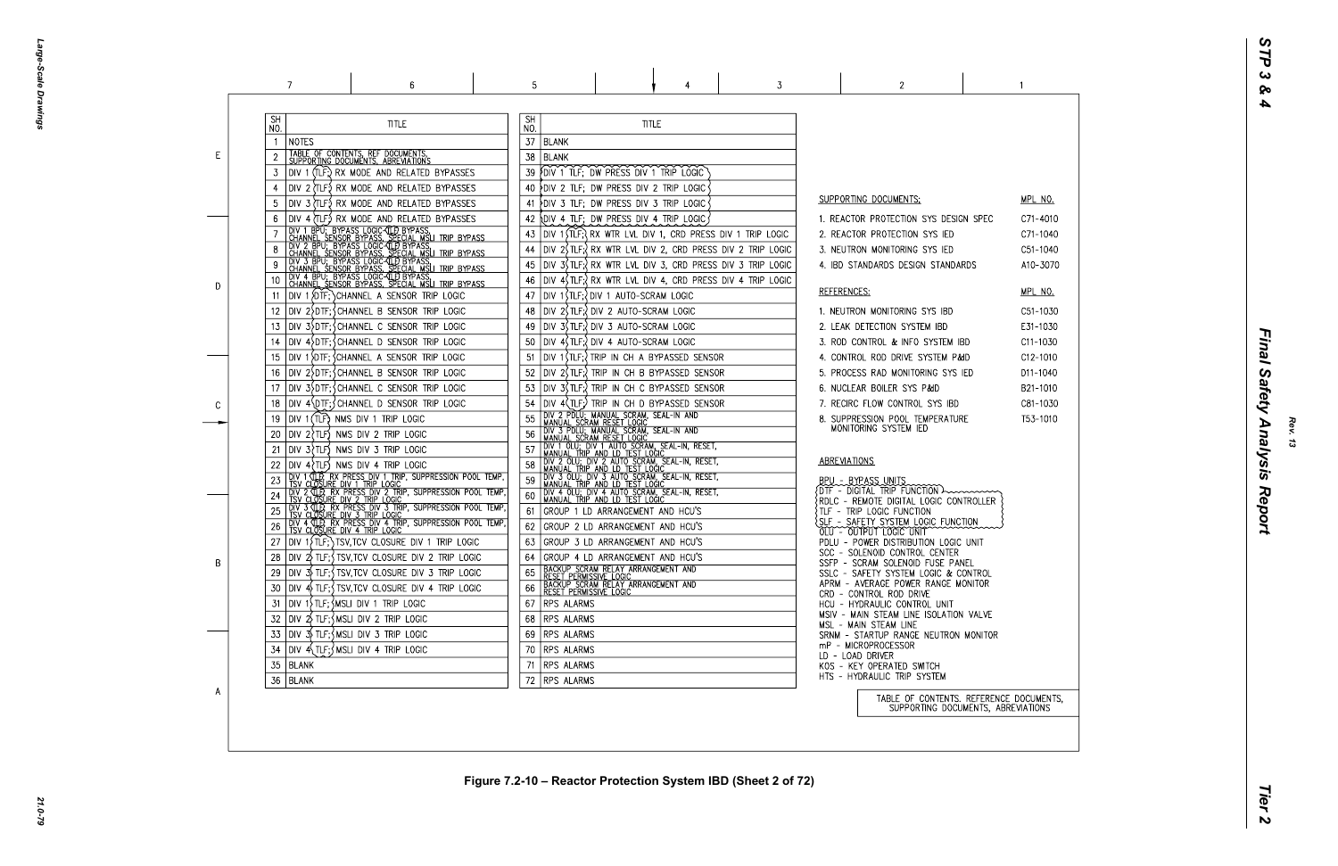Large-Scale Drawings *Large-Scale Drawings*

|    | 7                | 6                                                                                                                                                                                                                                          | 5                |                 |                                                                                                                                  |                                                                                                                                                                                                                                               | 3                                                                               | 2                                                                         |  |
|----|------------------|--------------------------------------------------------------------------------------------------------------------------------------------------------------------------------------------------------------------------------------------|------------------|-----------------|----------------------------------------------------------------------------------------------------------------------------------|-----------------------------------------------------------------------------------------------------------------------------------------------------------------------------------------------------------------------------------------------|---------------------------------------------------------------------------------|---------------------------------------------------------------------------|--|
|    | <b>SH</b><br>NO. | <b>TITLE</b>                                                                                                                                                                                                                               | <b>SH</b><br>NO. |                 | <b>TITLE</b>                                                                                                                     |                                                                                                                                                                                                                                               |                                                                                 |                                                                           |  |
|    | NOTES            |                                                                                                                                                                                                                                            | 37               | BLANK           |                                                                                                                                  |                                                                                                                                                                                                                                               |                                                                                 |                                                                           |  |
| E. |                  | TABLE OF CONTENTS, REF DOCUMENTS,<br>SUPPORTING DOCUMENTS, ABREVIATIONS                                                                                                                                                                    | 38               | <b>BLANK</b>    |                                                                                                                                  |                                                                                                                                                                                                                                               |                                                                                 |                                                                           |  |
|    | 3                | DIV 1 (TLF;) RX MODE AND RELATED BYPASSES                                                                                                                                                                                                  | 39               |                 | DIV 1 TLF; DW PRESS DIV 1 TRIP LOGIC                                                                                             |                                                                                                                                                                                                                                               |                                                                                 |                                                                           |  |
|    |                  | DIV 2 (TLF.) RX MODE AND RELATED BYPASSES                                                                                                                                                                                                  | 40               |                 | DIV 2 TLF; DW PRESS DIV 2 TRIP LOGIC                                                                                             |                                                                                                                                                                                                                                               |                                                                                 |                                                                           |  |
|    |                  | DIV 3 (TLF) RX MODE AND RELATED BYPASSES                                                                                                                                                                                                   | 41               |                 | DIV 3 TLF; DW PRESS DIV 3 TRIP LOGIC                                                                                             |                                                                                                                                                                                                                                               |                                                                                 | SUPPORTING DOCUMENTS:                                                     |  |
|    |                  | DIV 4 (TLF.) RX MODE AND RELATED BYPASSES                                                                                                                                                                                                  | 42               |                 | <b>RDIV 4 TLF; DW PRESS DIV 4 TRIP LOGIC;</b>                                                                                    |                                                                                                                                                                                                                                               |                                                                                 | 1. REACTOR PROTECTION SYS DESIGN SPE                                      |  |
|    |                  | TOIV 1 BPU; BYPASS LOGIC-CLD BYPASS,<br>  CHANNEL SENSOR BYPASS, SPECIAL MSLI TRIP BYPASS<br>  DIV 2 BPU; BYPASS LOGIC-CLD BYPASS,<br>  CHANNEL SENSOR BYPASS, SPECIAL MSLI TRIP BYPASS<br>  CHANNEL SENSOR BYPASS, SPECIAL MSLI TRIP BYPA | 43               |                 |                                                                                                                                  |                                                                                                                                                                                                                                               | DIV 1 STLF; RX WTR LVL DIV 1, CRD PRESS DIV 1 TRIP LOGIC                        | 2. REACTOR PROTECTION SYS IED                                             |  |
|    |                  |                                                                                                                                                                                                                                            | 44               |                 |                                                                                                                                  |                                                                                                                                                                                                                                               | $\vert$ DIV 2 $\vert$ TLF; $\vert$ RX WTR LVL DIV 2, CRD PRESS DIV 2 TRIP LOGIC | 3. NEUTRON MONITORING SYS IED                                             |  |
|    |                  |                                                                                                                                                                                                                                            | 45               |                 |                                                                                                                                  |                                                                                                                                                                                                                                               | DIV 3\$TLF;{ RX WTR LVL DIV 3, CRD PRESS DIV 3 TRIP LOGIC                       | 4. IBD STANDARDS DESIGN STANDARDS                                         |  |
|    | 10               | DIV 4 BPU; BYPASS LOGIC (TI) BYPASS<br>CHANNEL SENSOR BYPASS, SPECIAL MSLI TRIP BYPASS                                                                                                                                                     | 46               |                 |                                                                                                                                  |                                                                                                                                                                                                                                               | DIV 4\$ TLF; RX WTR LVL DIV 4, CRD PRESS DIV 4 TRIP LOGIC                       |                                                                           |  |
| D  | 11               | DIV 1 {DTF; } CHANNEL A SENSOR TRIP LOGIC                                                                                                                                                                                                  | 47               |                 | DIV 1\$TLF;?DIV 1 AUTO-SCRAM LOGIC                                                                                               |                                                                                                                                                                                                                                               |                                                                                 | REFERENCES:                                                               |  |
|    | 12               | DIV 2}DTF;{CHANNEL B SENSOR TRIP LOGIC                                                                                                                                                                                                     | 48               |                 | DIV 2\$TLF;?DIV 2 AUTO-SCRAM LOGIC                                                                                               |                                                                                                                                                                                                                                               |                                                                                 | 1. NEUTRON MONITORING SYS IBD                                             |  |
|    | 13               | DIV 3>DTF; SCHANNEL C SENSOR TRIP LOGIC                                                                                                                                                                                                    | 49               |                 | DIV 3 (TLF; ) DIV 3 AUTO-SCRAM LOGIC                                                                                             |                                                                                                                                                                                                                                               |                                                                                 | 2. LEAK DETECTION SYSTEM IBD                                              |  |
|    | 14               | DIV 4\DTF;\CHANNEL D SENSOR TRIP LOGIC                                                                                                                                                                                                     | 50               |                 | DIV 4\ TLF; DIV 4 AUTO-SCRAM LOGIC                                                                                               |                                                                                                                                                                                                                                               |                                                                                 | 3. ROD CONTROL & INFO SYSTEM IBD                                          |  |
|    | 15               | DIV 1 DIF; SCHANNEL A SENSOR TRIP LOGIC                                                                                                                                                                                                    | 51               |                 |                                                                                                                                  | DIV 1(TLF;? TRIP IN CH A BYPASSED SENSOR                                                                                                                                                                                                      |                                                                                 | 4. CONTROL ROD DRIVE SYSTEM P&ID                                          |  |
|    | 16               | DIV 2 DTF; CHANNEL B SENSOR TRIP LOGIC                                                                                                                                                                                                     | 52               |                 |                                                                                                                                  | DIV 2(TLF;) TRIP IN CH B BYPASSED SENSOR                                                                                                                                                                                                      |                                                                                 | 5. PROCESS RAD MONITORING SYS IED                                         |  |
|    | 17               | DIV 3SDTF; CHANNEL C SENSOR TRIP LOGIC                                                                                                                                                                                                     | 53               |                 |                                                                                                                                  | DIV 3(TLF;) TRIP IN CH C BYPASSED SENSOR                                                                                                                                                                                                      |                                                                                 | 6. NUCLEAR BOILER SYS P&ID                                                |  |
|    | 18               | DIV 4\DTF; CHANNEL D SENSOR TRIP LOGIC                                                                                                                                                                                                     | 54               |                 |                                                                                                                                  | DIV 4(TLF;) TRIP IN CH D BYPASSED SENSOR                                                                                                                                                                                                      |                                                                                 | 7. RECIRC FLOW CONTROL SYS IBD                                            |  |
| C  | 19               | DIV 1 (TLF) NMS DIV 1 TRIP LOGIC                                                                                                                                                                                                           | 55               |                 | DIV 2 PDLU; MANUAL SCRAM, SEAL-IN AND<br>MANUAL SCRAM RESET LOGIC                                                                |                                                                                                                                                                                                                                               |                                                                                 | 8. SUPPRESSION POOL TEMPERATURE                                           |  |
|    | 20               | $DIV$ 2 $TLF$ NMS DIV 2 TRIP LOGIC                                                                                                                                                                                                         | 56               |                 |                                                                                                                                  |                                                                                                                                                                                                                                               |                                                                                 | MONITORING SYSTEM IED                                                     |  |
|    | 21               | DIV 3?TLF) NMS DIV 3 TRIP LOGIC                                                                                                                                                                                                            | 57               |                 |                                                                                                                                  | I MANUAL SUAMM NESE LOCAM, SEAL-IN AND<br>I MANUAL SCRAM RESET LOGIC<br>I DIV 1 OLU: DIV 1 AUTO SCRAM, SEAL-IN, RESET,<br>I MANUAL TRIP AND LD TEST LOGIC<br>I DIV 2 OLU; DIV 2 AUTO SCRAM, SEAL-IN, RESET,<br>I MANUAL TRIP AND LD TEST LOGI |                                                                                 |                                                                           |  |
|    |                  | $DIV 4$ $TLF$ ) NMS DIV 4 TRIP LOGIC                                                                                                                                                                                                       | 58               |                 |                                                                                                                                  |                                                                                                                                                                                                                                               |                                                                                 | ABREVIATIONS                                                              |  |
|    |                  | DIV 1 (TLP) RX PRESS DIV 1 TRIP, SUPPRESSION POOL TEMP,<br>TSV CLOSURE DIV 1 TRIP LOGIC                                                                                                                                                    | 59               |                 |                                                                                                                                  | DIV 3 OLU; DIV 3 AUTO SCRAM, SEAL-IN, RESET,                                                                                                                                                                                                  |                                                                                 |                                                                           |  |
|    | 24               |                                                                                                                                                                                                                                            | 60               |                 | MANUAL TRIP AND LD TEST LOGIC                                                                                                    |                                                                                                                                                                                                                                               |                                                                                 | BPU - BYPASS UNITS<br>{DTF - DIGITAL TRIP FUNCTION >>>>>>>>>>             |  |
|    |                  | TOV 2 CLOVE BY PRESS DIV 2 TRIP, SUPPRESSION POOL TEMP,<br>TSV CLOSURE DIV 2 TRIP LOGIC<br>TDIV 3 CLOSURE DIV 2 TRIP LOGIC<br>TSV CLOSURE DIV 3 TRIP LOGIC                                                                                 |                  |                 | GROUP 1 LD ARRANGEMENT AND HCU'S                                                                                                 | DIV 4 OLU; DIV 4 AUTO SCRAM, SEAL-IN, RESET,<br>MANUAL TRIP AND LD TEST LOGIC                                                                                                                                                                 |                                                                                 | RDLC - REMOTE DIGITAL LOGIC CONTROLLE ?                                   |  |
|    |                  |                                                                                                                                                                                                                                            | 61               |                 |                                                                                                                                  |                                                                                                                                                                                                                                               |                                                                                 | TLF - TRIP LOGIC FUNCTION<br>SLF - SAFETY SYSTEM LOGIC FUNCTION           |  |
|    | 26               | DIV 4 (TLP), RX PRESS DIV 4 TRIP, SUPPRESSION POOL TEMP,<br>TSV CLOSURE DIV 4 TRIP LOGIC                                                                                                                                                   | 62               |                 | GROUP 2 LD ARRANGEMENT AND HCU'S                                                                                                 |                                                                                                                                                                                                                                               |                                                                                 | OLU - OUTPUT LOGIC UNIT                                                   |  |
|    | 27               | $ $ DIV 1 $\{$ TLF; $\}$ TSV, TCV CLOSURE DIV 1 TRIP LOGIC                                                                                                                                                                                 | 63               |                 | GROUP 3 LD ARRANGEMENT AND HCU'S                                                                                                 |                                                                                                                                                                                                                                               |                                                                                 | PDLU - POWER DISTRIBUTION LOGIC UNIT<br>SCC - SOLENOID CONTROL CENTER     |  |
| B  | 28               | $ Div 2\frac{1}{2}$ TLF; $\frac{1}{2}$ TSV, TCV CLOSURE DIV 2 TRIP LOGIC                                                                                                                                                                   | 64               |                 | GROUP 4 LD ARRANGEMENT AND HCU'S                                                                                                 |                                                                                                                                                                                                                                               |                                                                                 | SSFP - SCRAM SOLENOID FUSE PANEL                                          |  |
|    | 29               | $ $ DIV $\frac{1}{2}$ TLF; { TSV, TCV CLOSURE DIV 3 TRIP LOGIC                                                                                                                                                                             | 65               |                 | FBACKUP SCRAM RELAY ARRANGEMENT AND<br>FRESET PERMISSIVE LOGIC<br>FBACKUP SCRAM RELAY ARRANGEMENT AND<br>FRESET PERMISSIVE LOGIC |                                                                                                                                                                                                                                               |                                                                                 | SSLC - SAFETY SYSTEM LOGIC & CONTRO<br>APRM - AVERAGE POWER RANGE MONITOR |  |
|    | 30               | DIV 4) TLF;{TSV,TCV CLOSURE DIV 4 TRIP LOGIC                                                                                                                                                                                               | 66               |                 |                                                                                                                                  |                                                                                                                                                                                                                                               |                                                                                 | CRD - CONTROL ROD DRIVE                                                   |  |
|    | 31               | $ $ DIV 1 $\overline{\ }$ TLF; $\overline{\ }$ MSLI DIV 1 TRIP LOGIC                                                                                                                                                                       | 67               | RPS ALARMS      |                                                                                                                                  |                                                                                                                                                                                                                                               |                                                                                 | HCU - HYDRAULIC CONTROL UNIT<br>MSIV - MAIN STEAM LINE ISOLATION VALV     |  |
|    | 32               | $ D V  \n2$ TLF; $\frac{1}{2}$ MSLI DIV 2 TRIP LOGIC                                                                                                                                                                                       |                  | 68 RPS ALARMS   |                                                                                                                                  |                                                                                                                                                                                                                                               |                                                                                 | MSL - MAIN STEAM LINE                                                     |  |
|    | 33               | $ $ DIV $\frac{1}{2}$ TLF; $\frac{1}{2}$ MSLI DIV 3 TRIP LOGIC                                                                                                                                                                             |                  | 69 RPS ALARMS   |                                                                                                                                  |                                                                                                                                                                                                                                               |                                                                                 | SRNM - STARTUP RANGE NEUTRON MONIT<br>mP - MICROPROCESSOR                 |  |
|    | 34               | $DIV$ 4 $\{TE; \}$ MSLI DIV 4 TRIP LOGIC                                                                                                                                                                                                   |                  | 70   RPS ALARMS |                                                                                                                                  |                                                                                                                                                                                                                                               |                                                                                 | LD - LOAD DRIVER                                                          |  |
|    | 35<br>BLANK      |                                                                                                                                                                                                                                            |                  | 71 RPS ALARMS   |                                                                                                                                  |                                                                                                                                                                                                                                               |                                                                                 | KOS - KEY OPERATED SWITCH                                                 |  |
|    | 36   BLANK       |                                                                                                                                                                                                                                            |                  | 72 RPS ALARMS   |                                                                                                                                  |                                                                                                                                                                                                                                               |                                                                                 | HTS - HYDRAULIC TRIP SYSTEM                                               |  |
| A  |                  |                                                                                                                                                                                                                                            |                  |                 |                                                                                                                                  |                                                                                                                                                                                                                                               |                                                                                 | TABLE OF CONTENTS. REFER<br>SUPPORTING DOCUMENTS                          |  |

| ЕC               | <u>MPL NO.</u><br>C71-4010<br>C71-1040<br>C51-1040<br>A10-3070                                                 |
|------------------|----------------------------------------------------------------------------------------------------------------|
|                  | <u>MPL NO.</u><br>C51-1030<br>E31-1030<br>C11-1030<br>C12-1010<br>D11-1040<br>B21-1010<br>C81-1030<br>T53-1010 |
| <b>ER</b>        |                                                                                                                |
| ЭL<br>R          |                                                                                                                |
| VE<br><b>TOR</b> |                                                                                                                |
| S, ABREVIATIONS  | RENCE DOCUMENTS,                                                                                               |

Tier<sub>2</sub>

 $\overline{1}$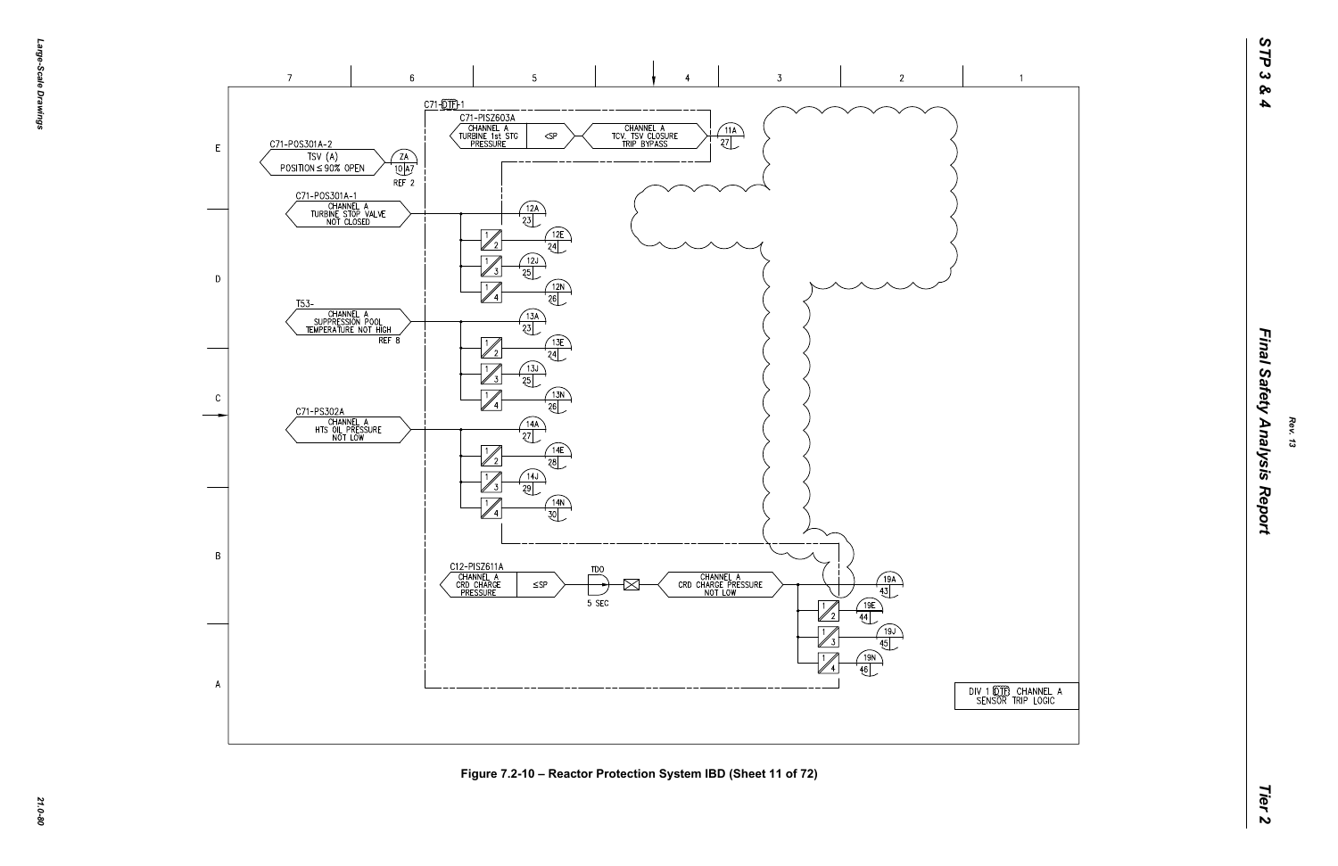*Large-Scale Drawings* Large--Scale Drawings



**Figure 7.2-10 – Reactor Protection System IBD (Sheet 11 of 72)**

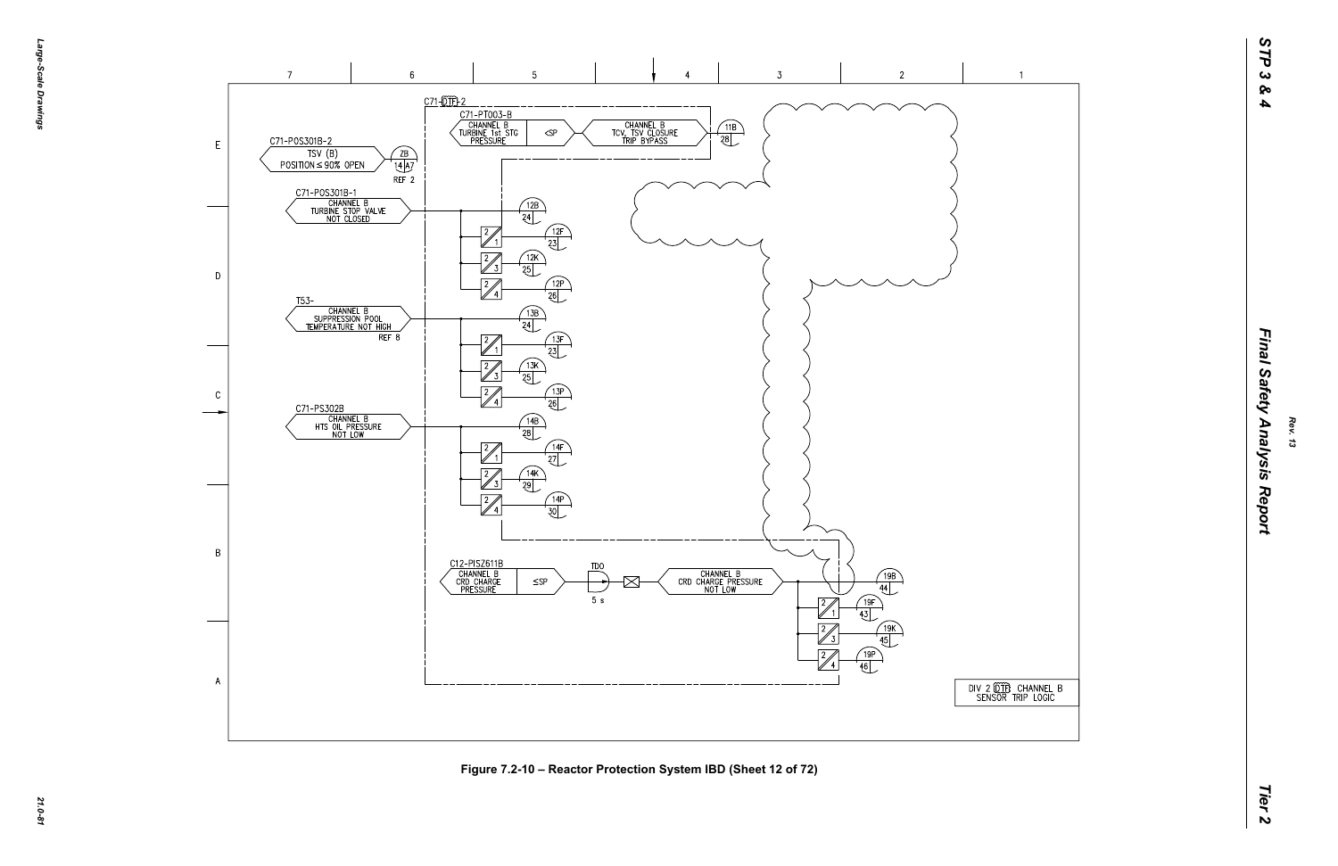

| NSOR TRIP LOGIC |
|-----------------|
|-----------------|



**Figure 7.2-10 – Reactor Protection System IBD (Sheet 12 of 72)**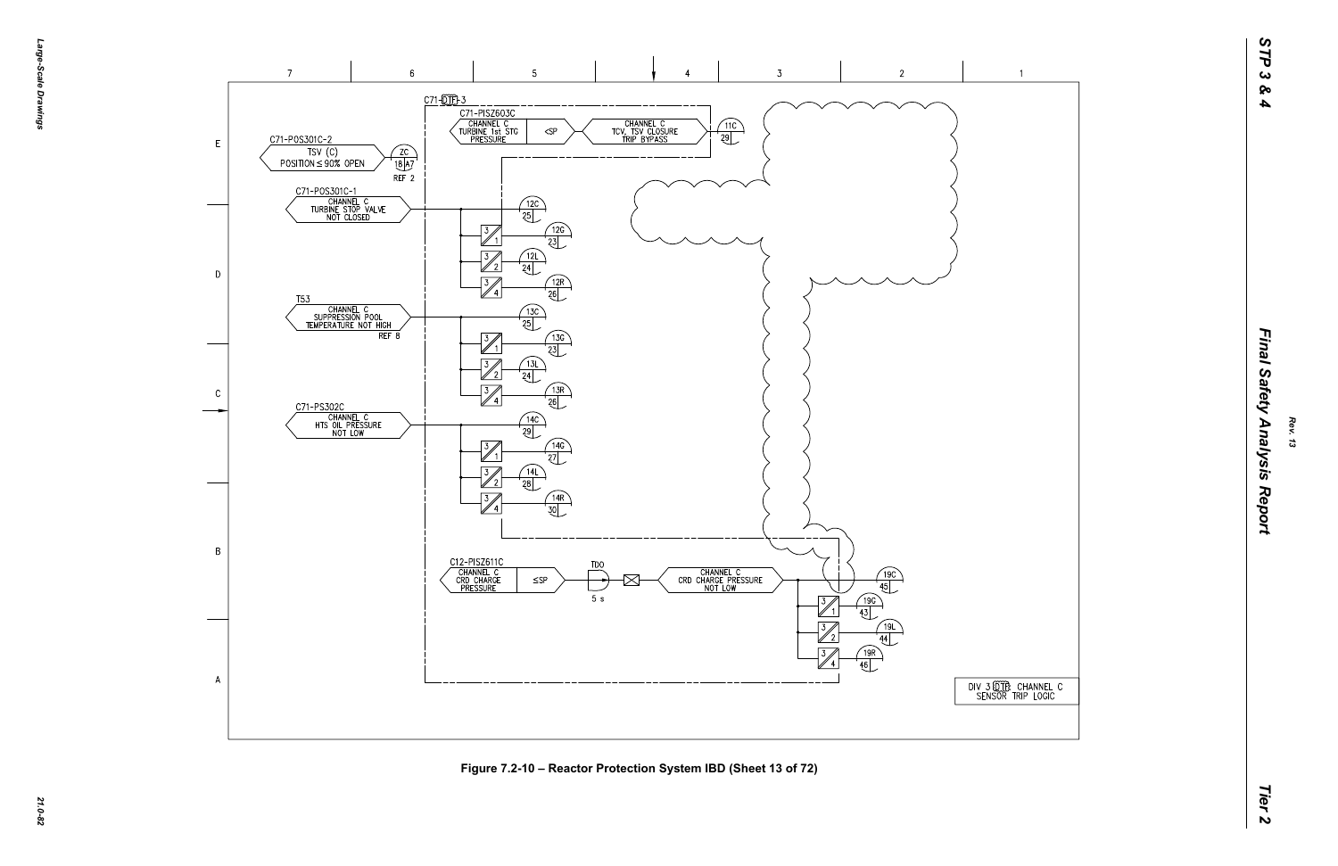

 $\overline{1}$ 



**Figure 7.2-10 – Reactor Protection System IBD (Sheet 13 of 72)**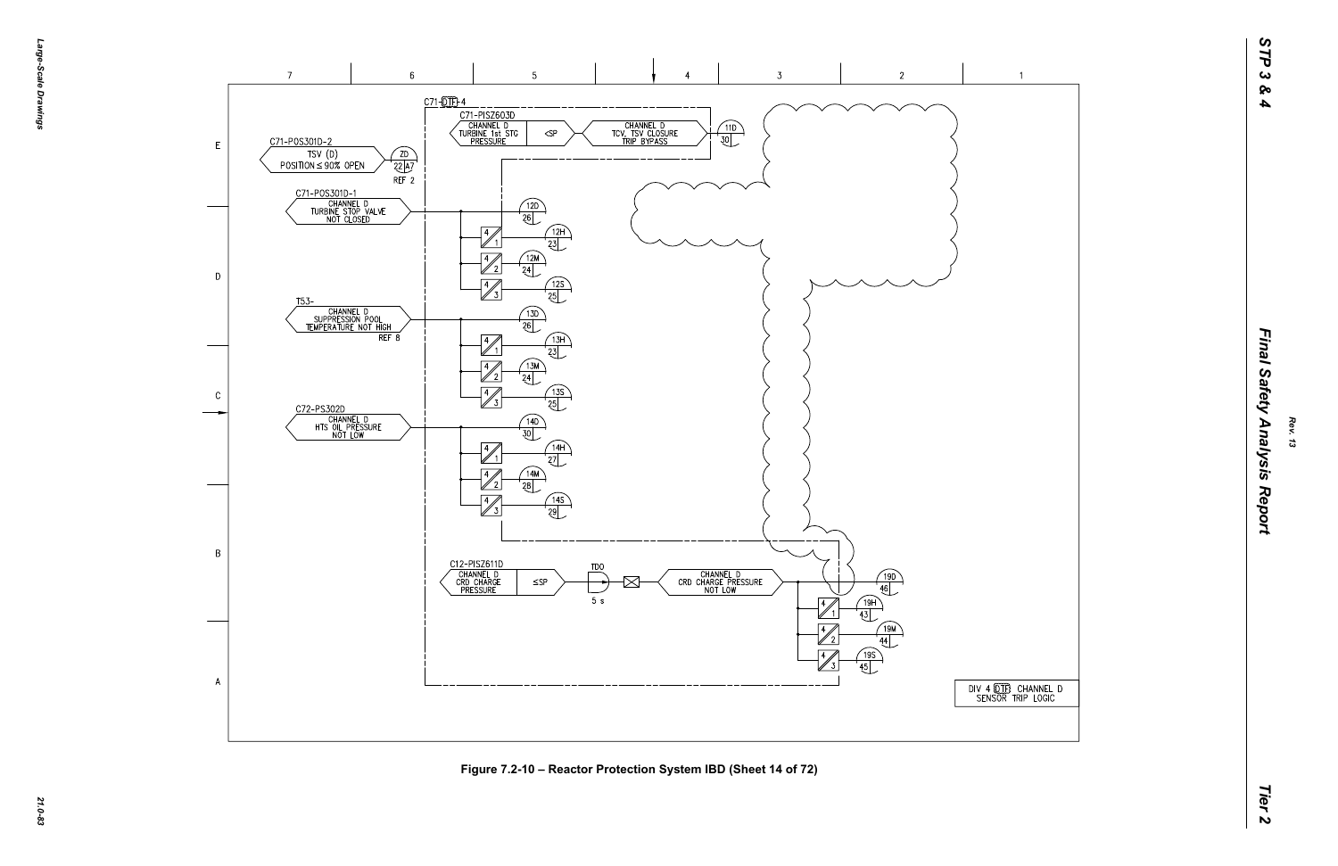



**Figure 7.2-10 – Reactor Protection System IBD (Sheet 14 of 72)**

| 4 QIB CHANNEL D<br>NSOR TRIP LOGIC |  |
|------------------------------------|--|
|                                    |  |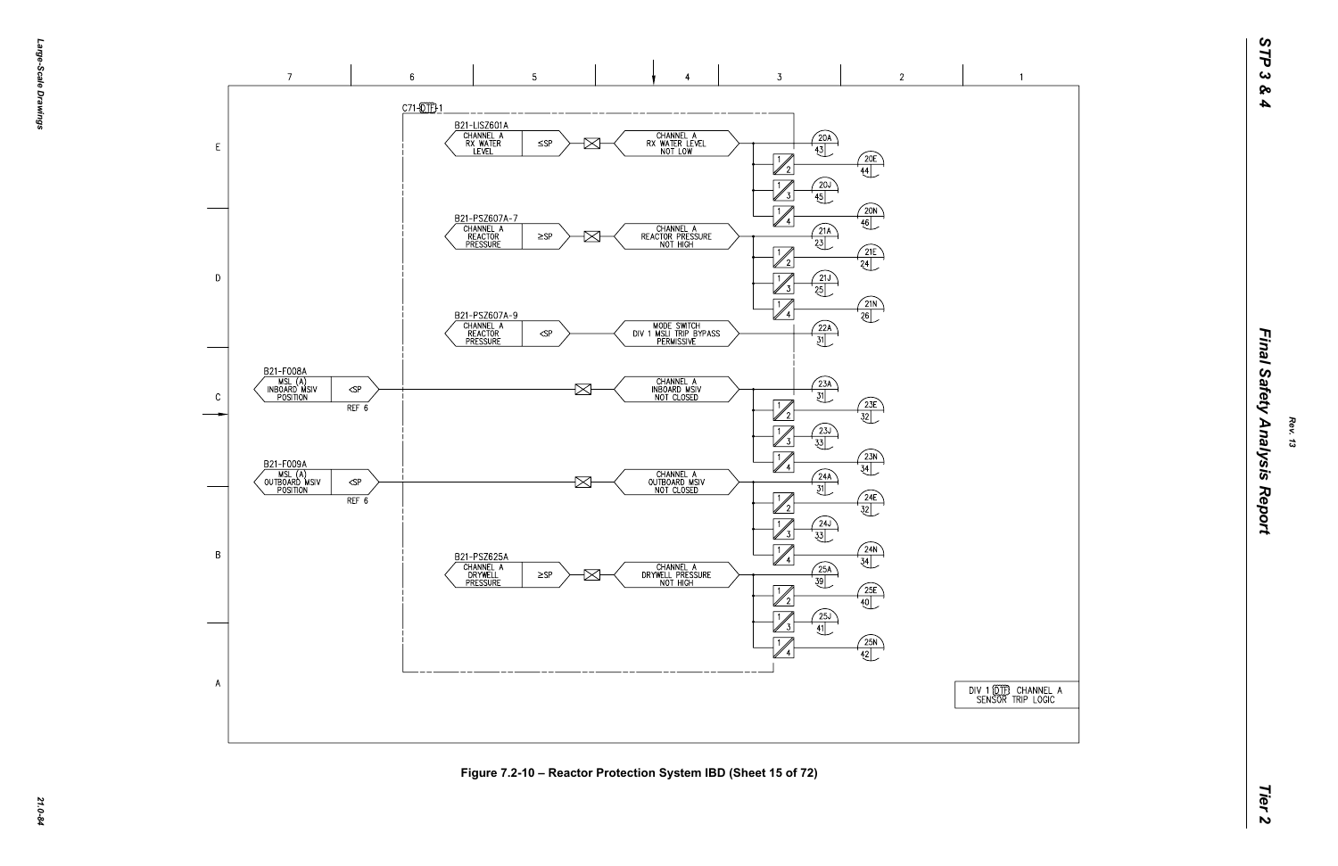

**Figure 7.2-10 – Reactor Protection System IBD (Sheet 15 of 72)**

| 1 0TB CHANNEL A<br>NSOR TRIP LOGIC |  |
|------------------------------------|--|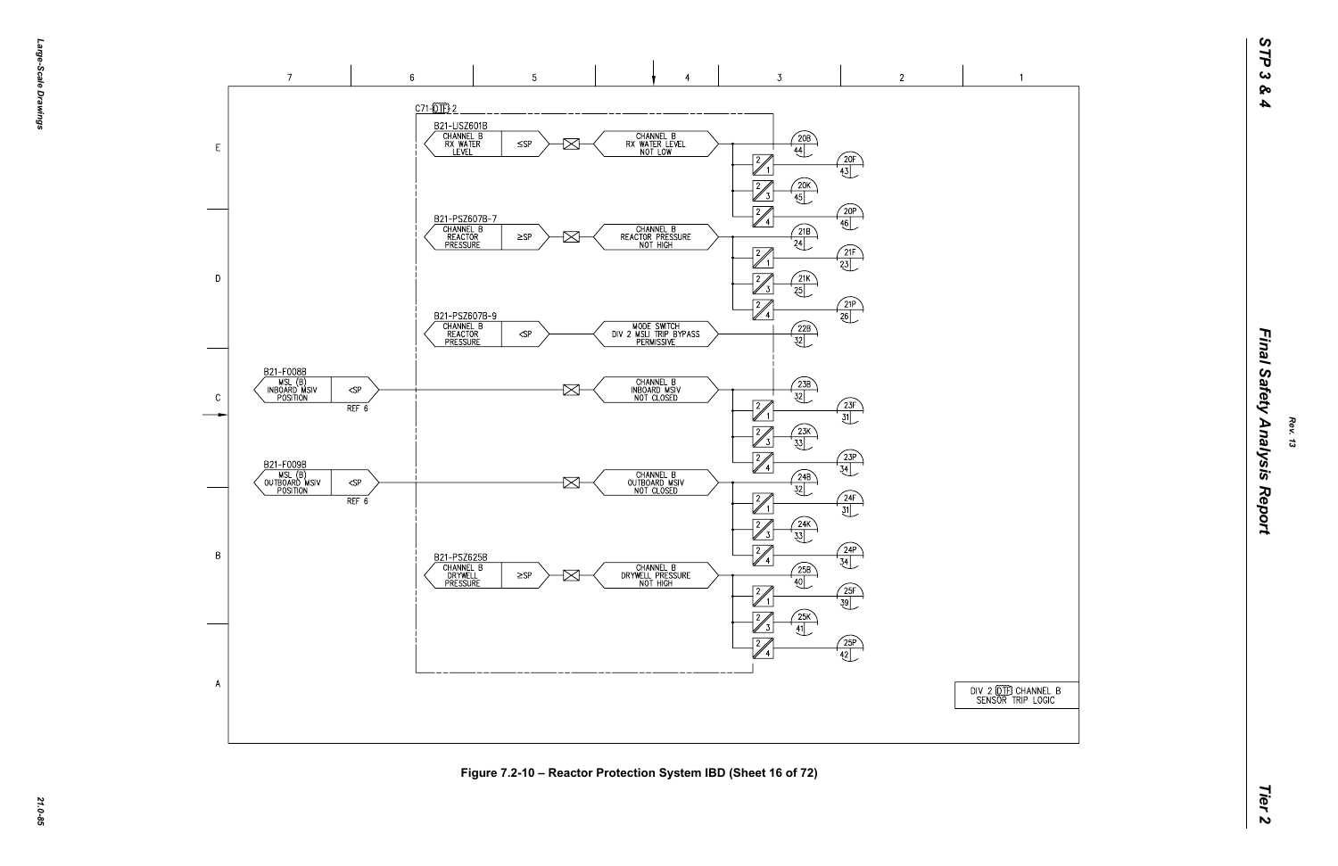

**Figure 7.2-10 – Reactor Protection System IBD (Sheet 16 of 72)**

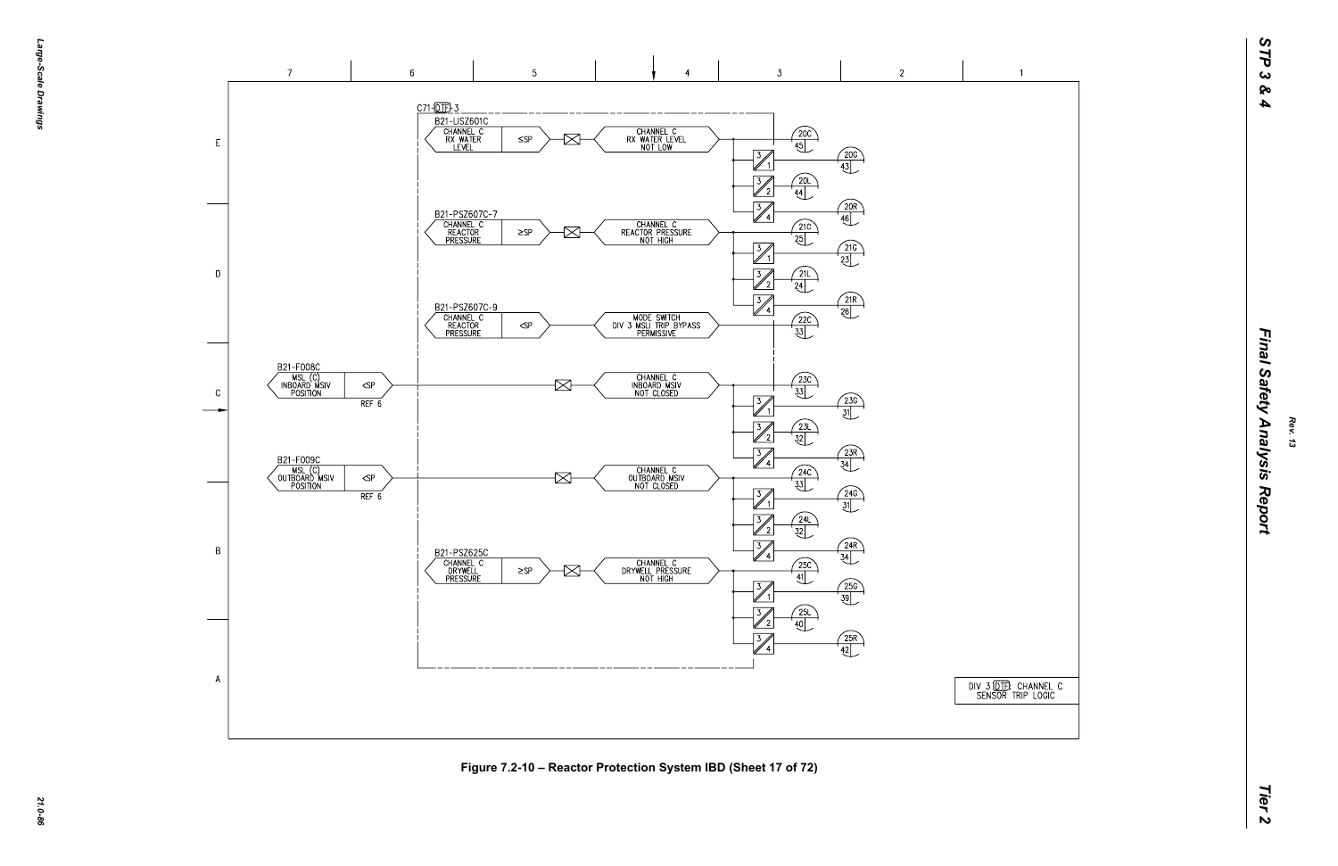*21.0-86*

 $\overline{1}$ 



**Figure 7.2-10 – Reactor Protection System IBD (Sheet 17 of 72)**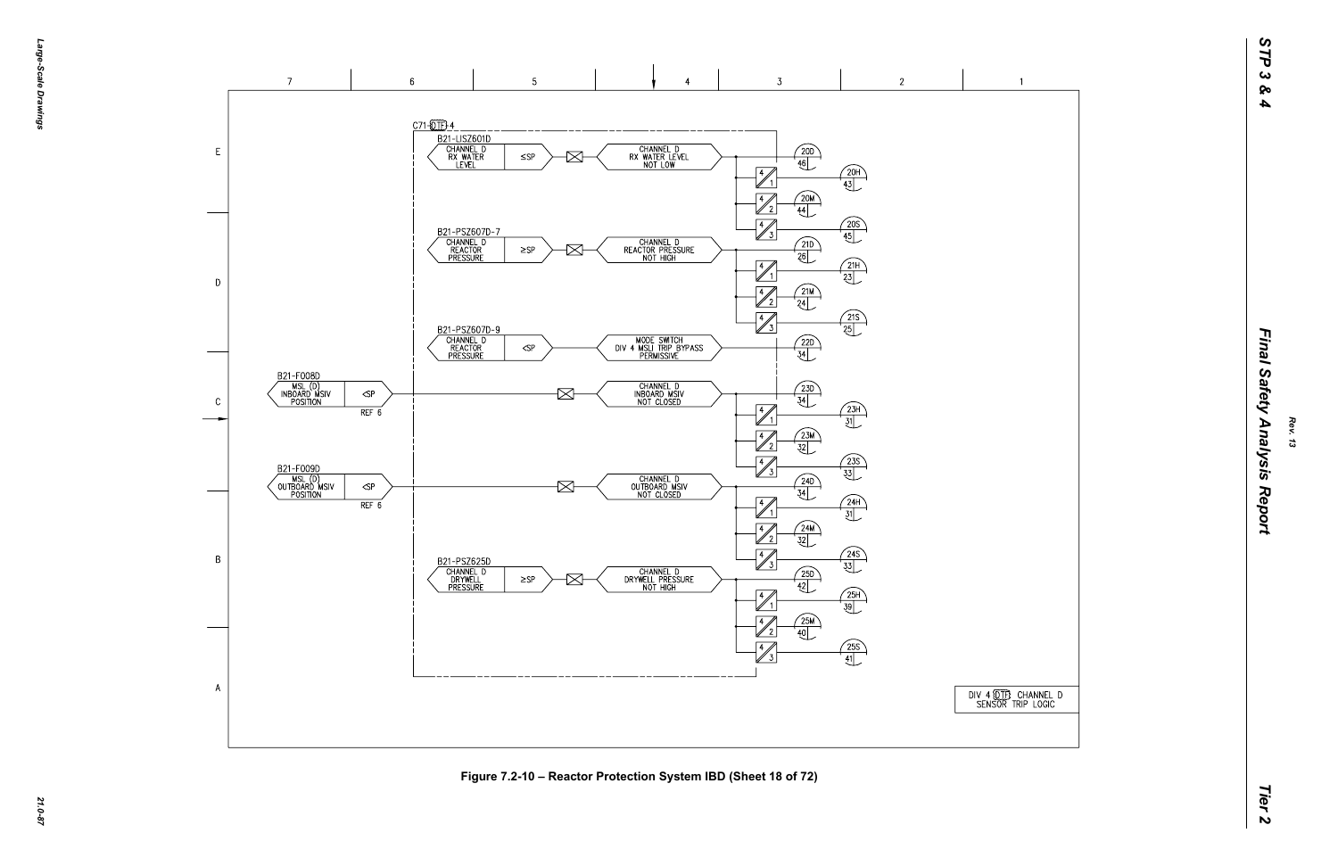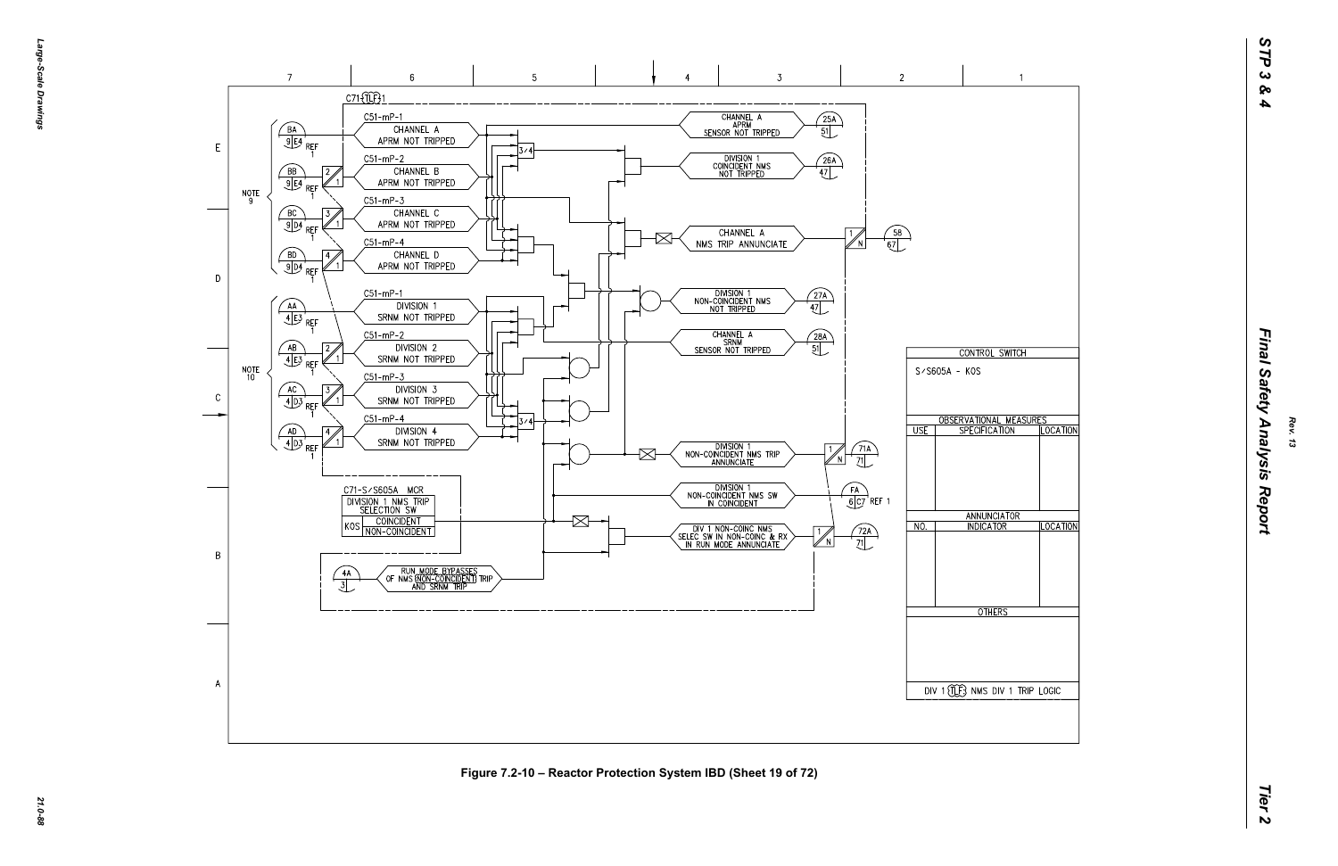

**Figure 7.2-10 – Reactor Protection System IBD (Sheet 19 of 72)**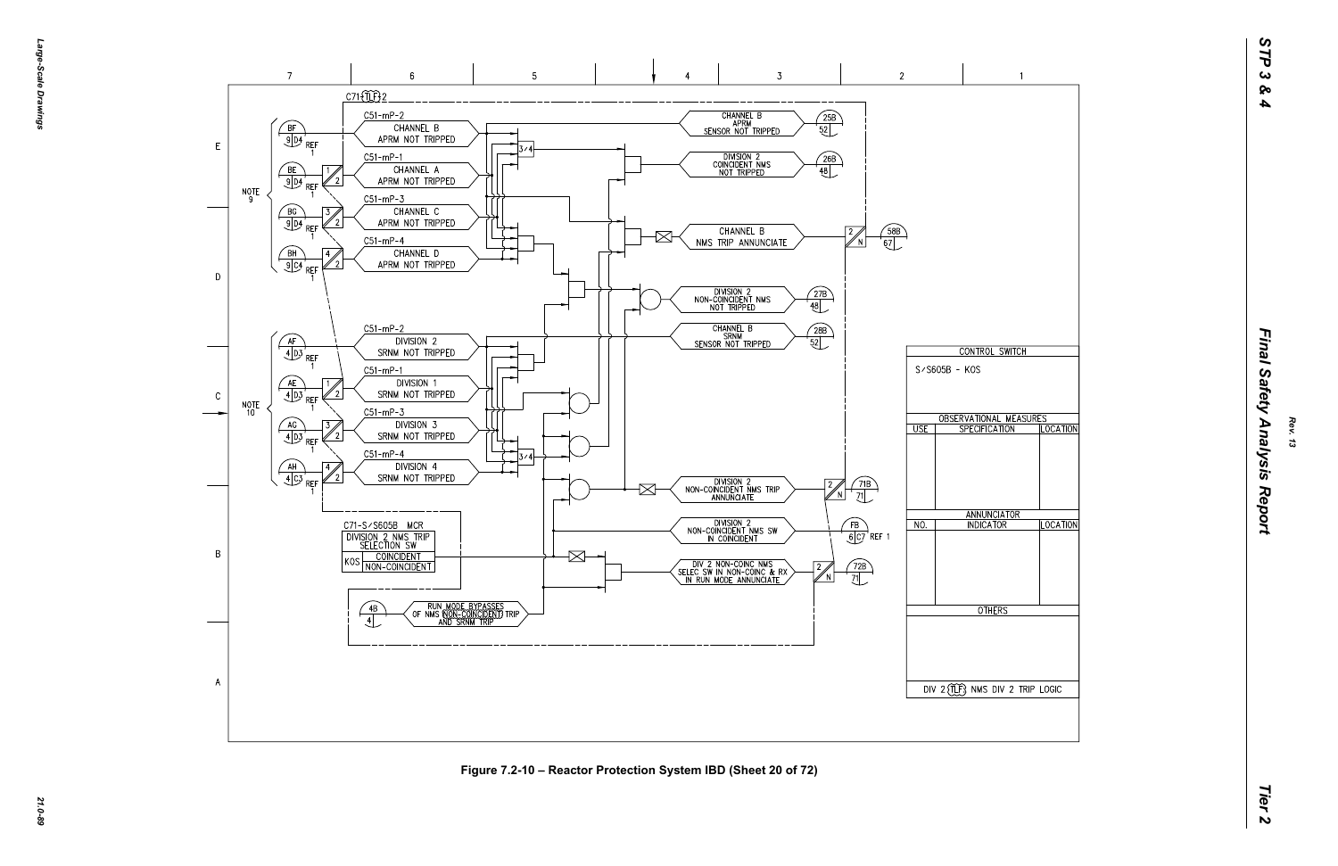

**Figure 7.2-10 – Reactor Protection System IBD (Sheet 20 of 72)**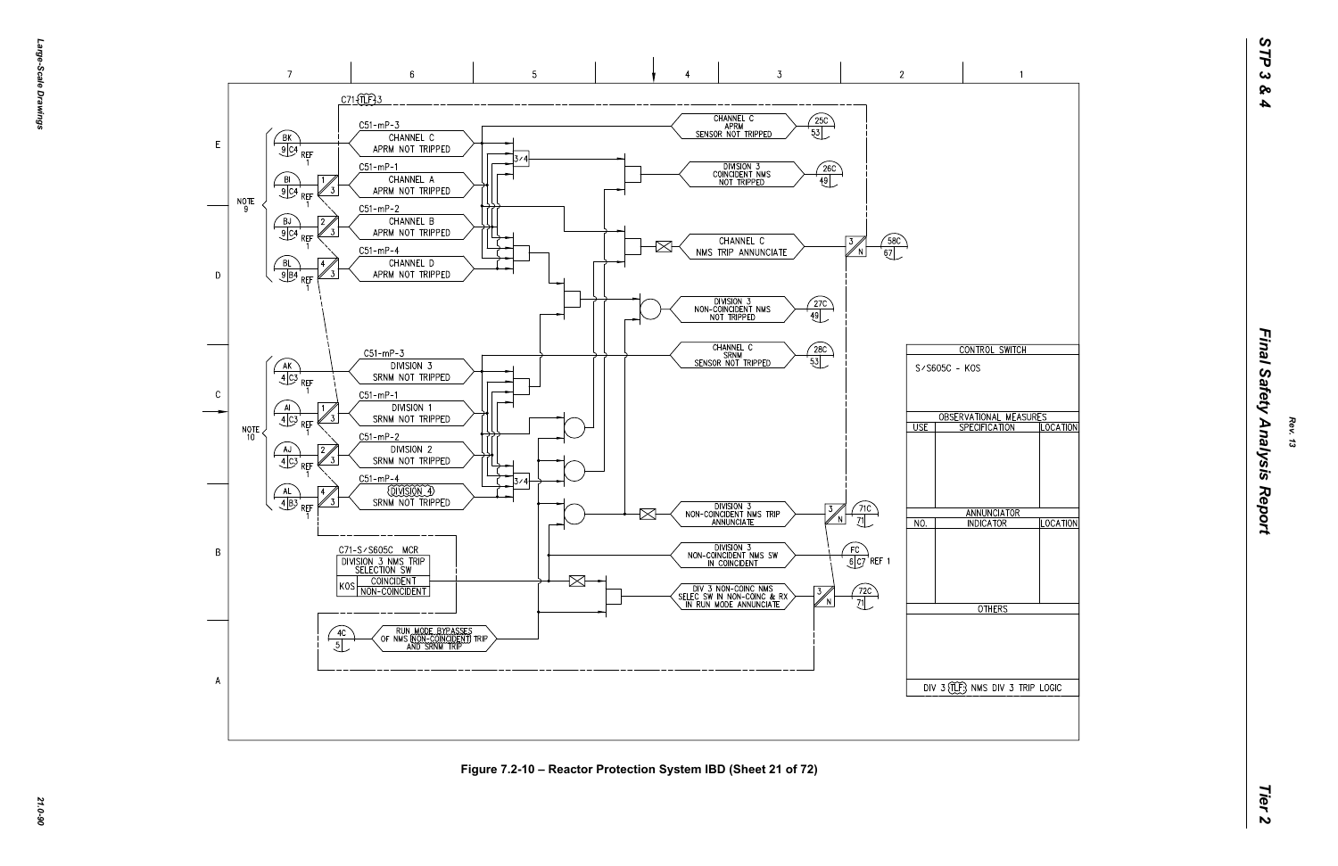

**Figure 7.2-10 – Reactor Protection System IBD (Sheet 21 of 72)**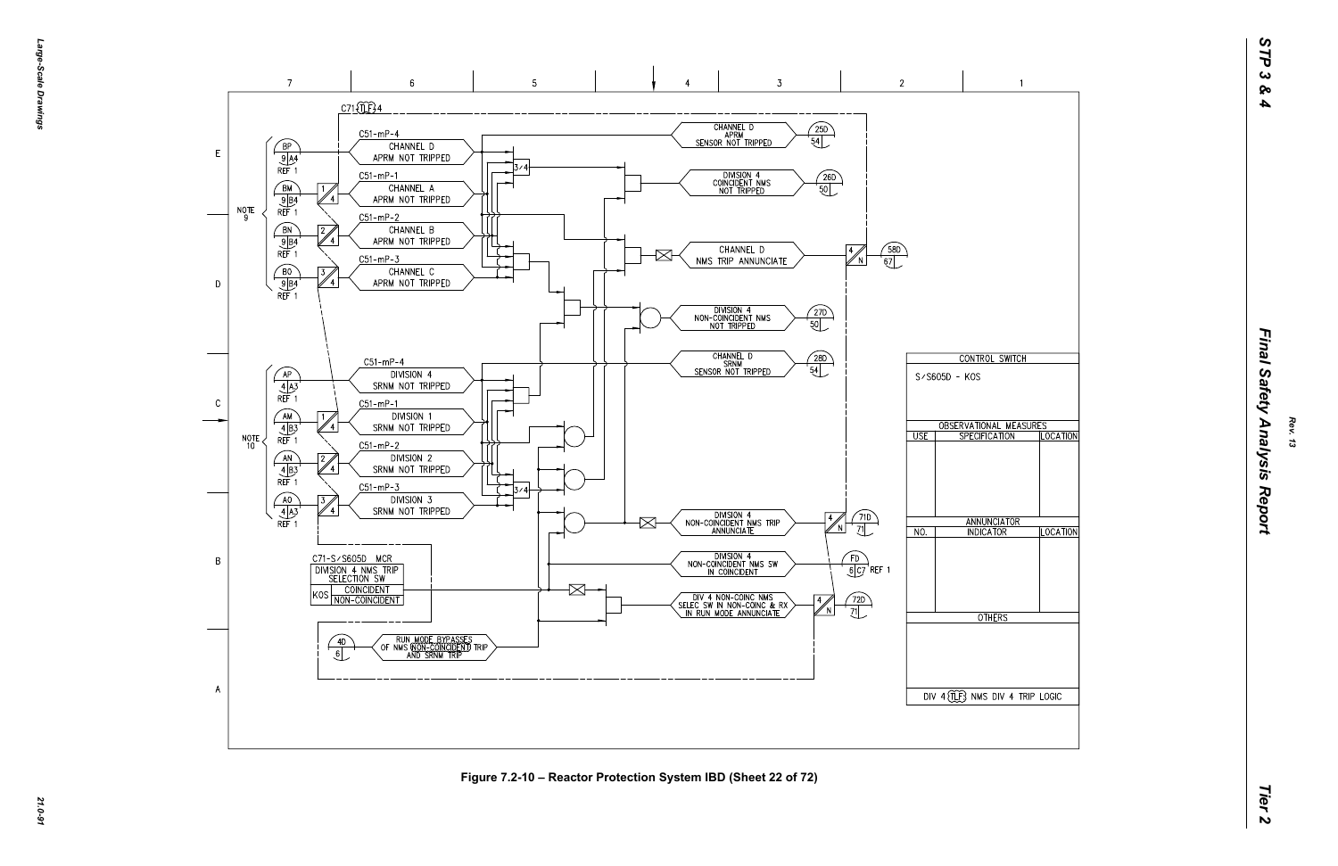*Large-Scale Drawings* arge--Scale **Drawings** 

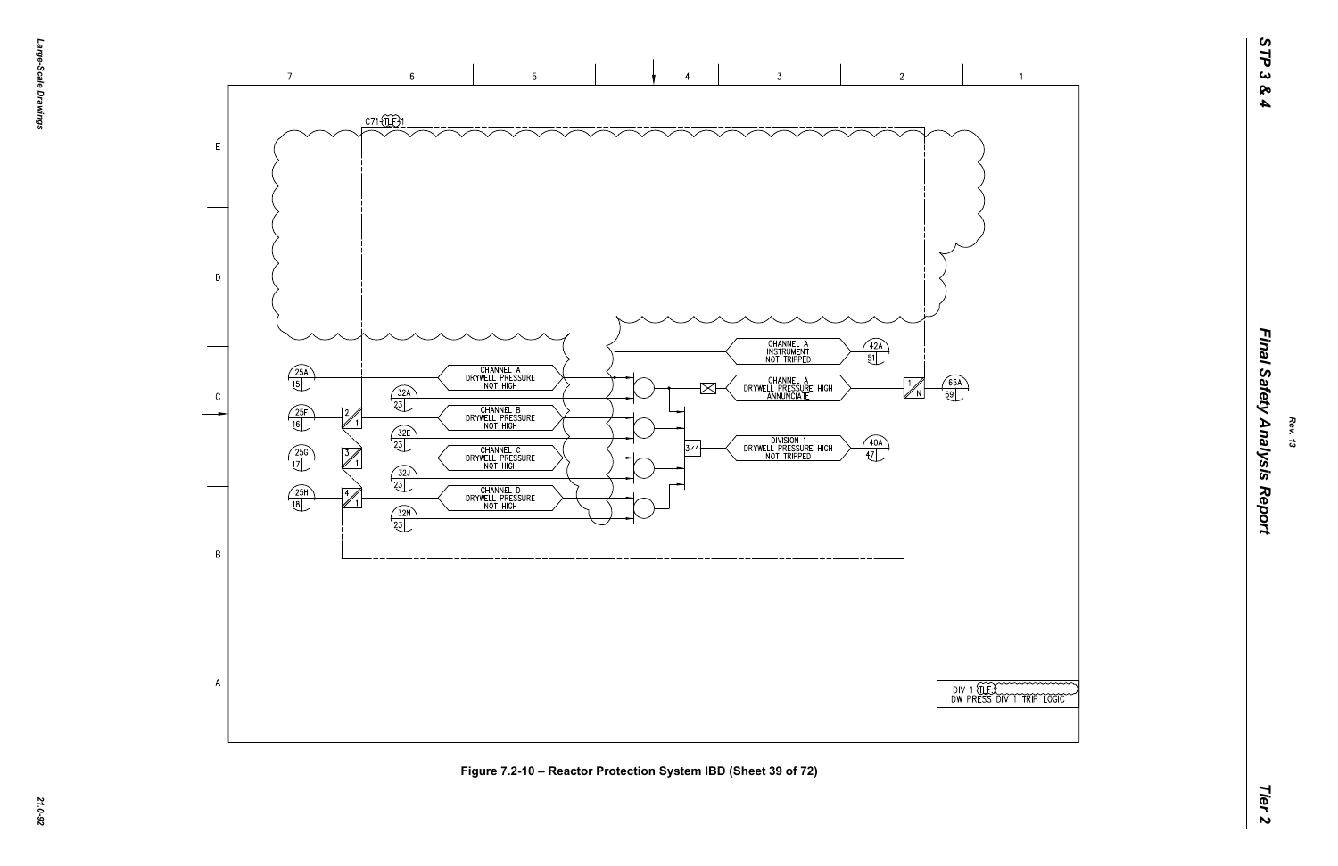|  | $\overline{\phantom{1}}$ | TESCOMONOMONO |  |
|--|--------------------------|---------------|--|
|  |                          |               |  |

 $\overline{1}$ 



**Figure 7.2-10 – Reactor Protection System IBD (Sheet 39 of 72)**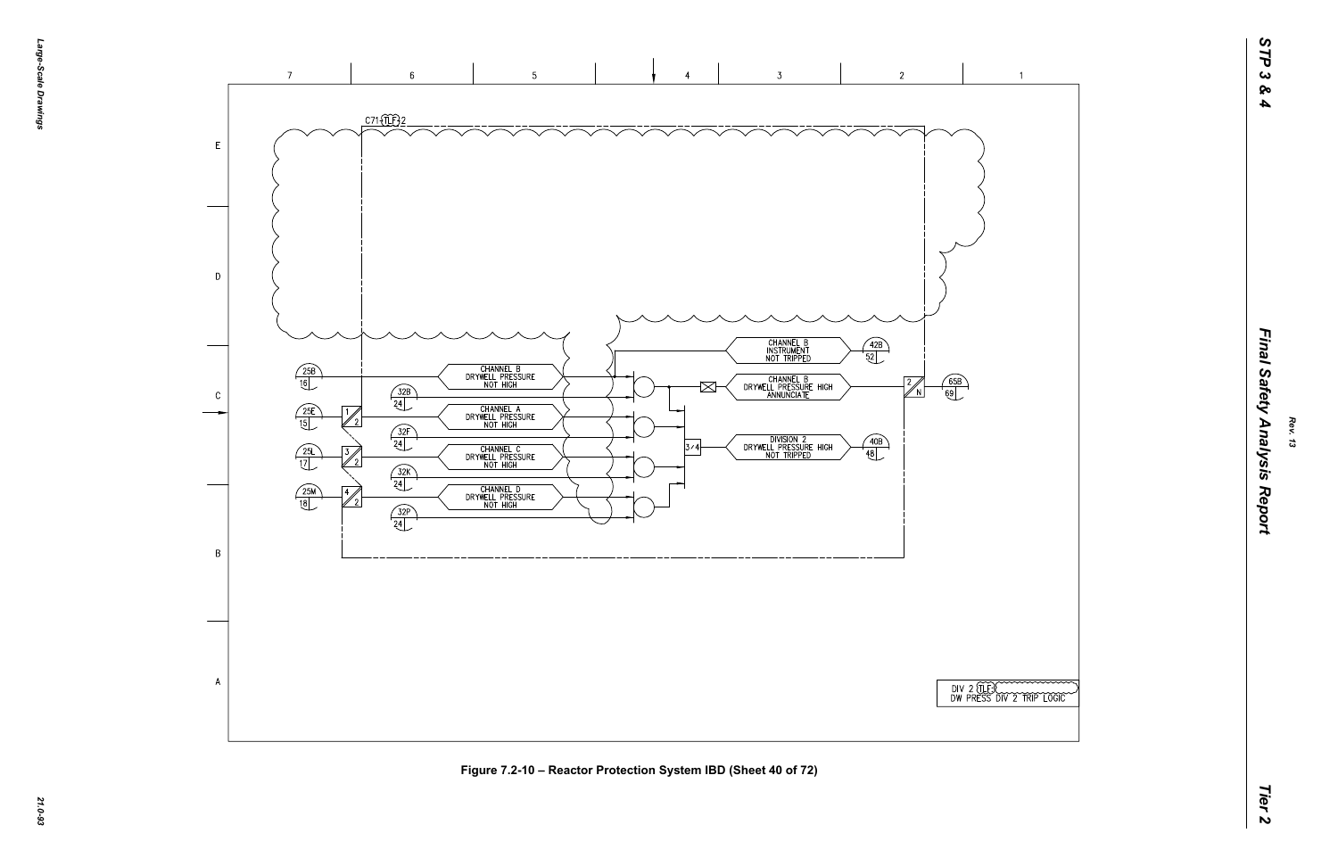| )<br>)       |  |              |  |
|--------------|--|--------------|--|
|              |  |              |  |
|              |  |              |  |
|              |  |              |  |
|              |  |              |  |
|              |  |              |  |
|              |  |              |  |
|              |  |              |  |
|              |  |              |  |
|              |  |              |  |
| EE<br>SS DIV |  | J TRIP LOGIC |  |

 $\overline{1}$ 

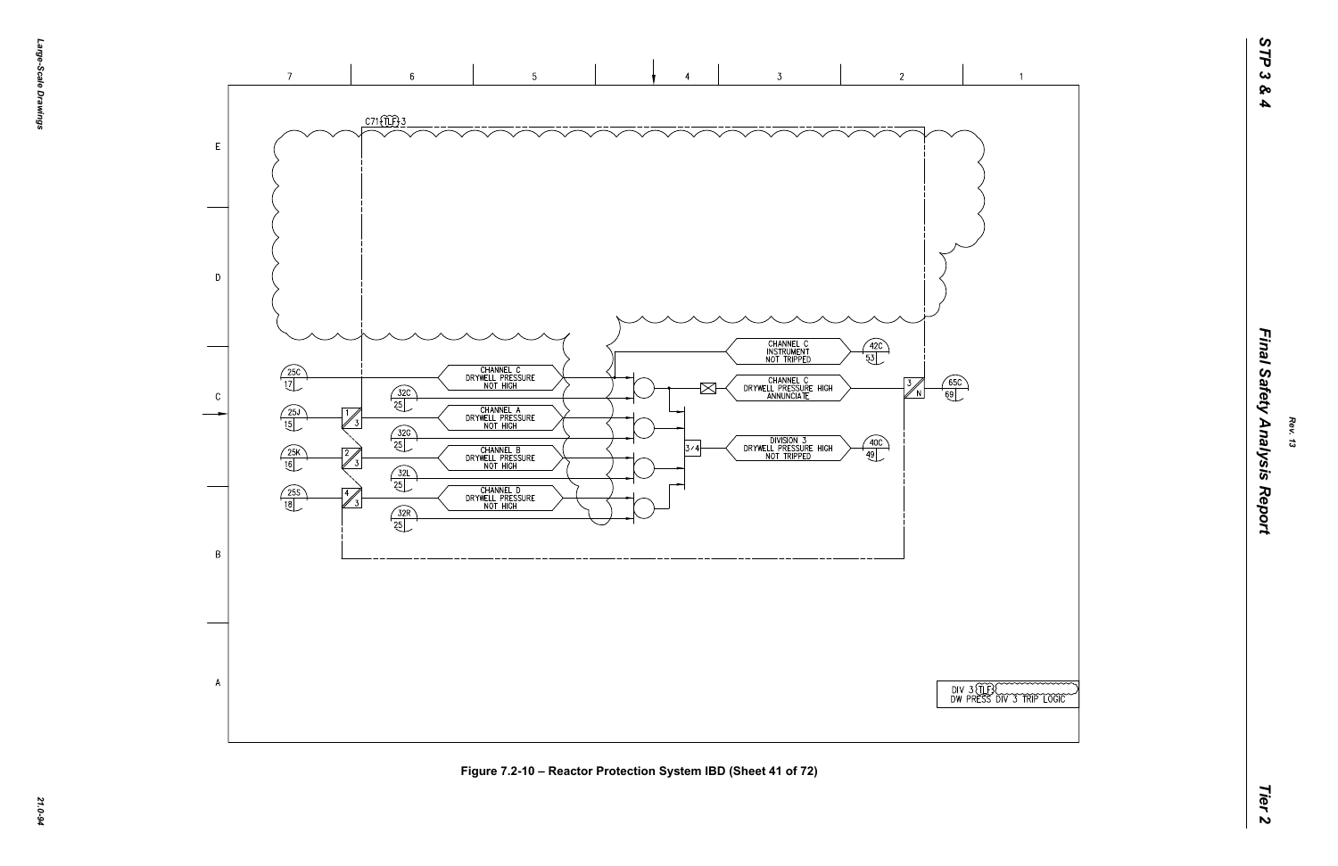| )                    |
|----------------------|
| )                    |
| )                    |
| )                    |
|                      |
|                      |
|                      |
|                      |
|                      |
|                      |
|                      |
|                      |
|                      |
|                      |
|                      |
|                      |
|                      |
|                      |
|                      |
|                      |
|                      |
| <b>ENCORPORATION</b> |
|                      |
|                      |

 $\overline{1}$ 

### Final Safety Analysis Report



**Figure 7.2-10 – Reactor Protection System IBD (Sheet 41 of 72)**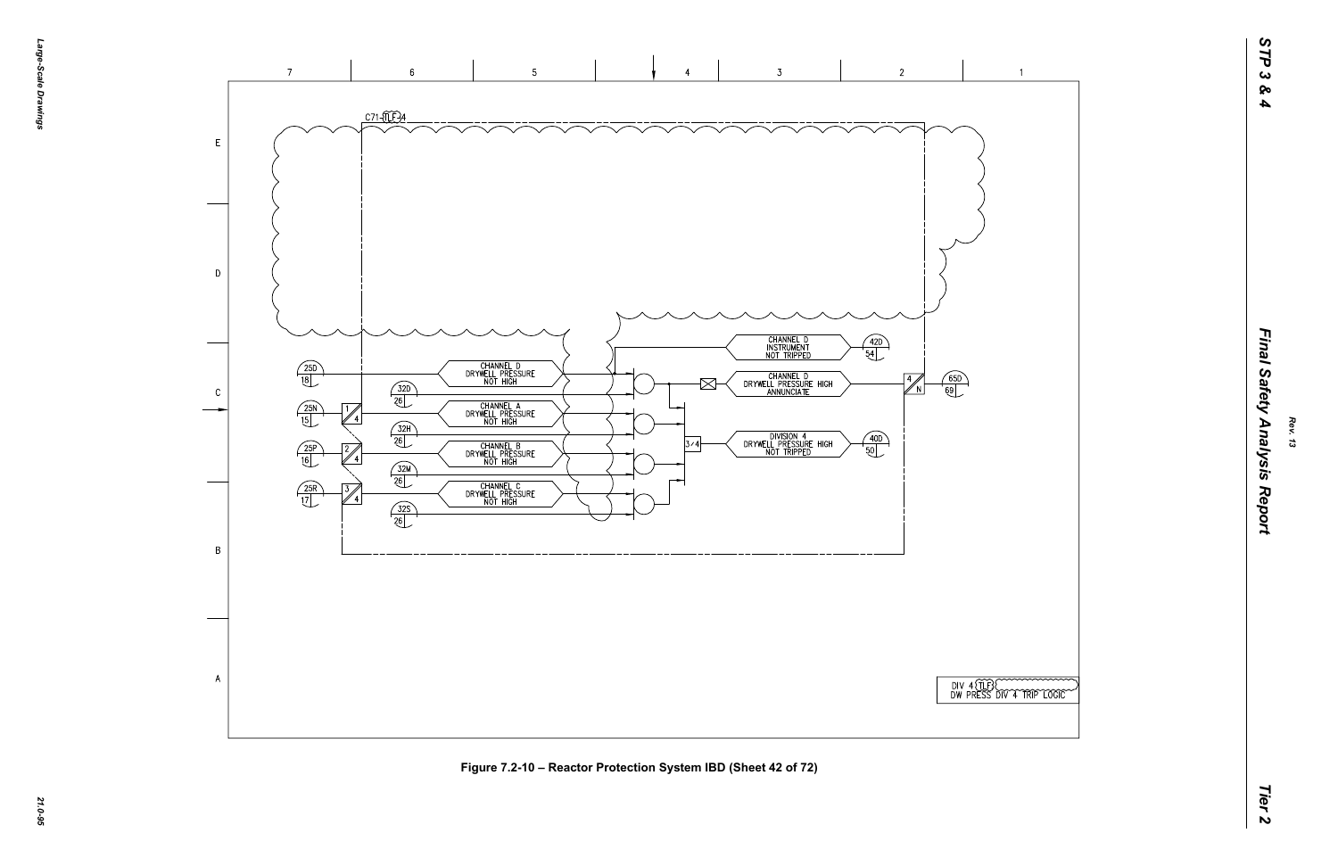| )<br>)<br>)   |                 |            |  |
|---------------|-----------------|------------|--|
|               |                 |            |  |
|               |                 |            |  |
|               |                 |            |  |
|               |                 |            |  |
|               |                 |            |  |
| BC)<br>SS DIV | $\widetilde{4}$ | JAIP LOGIC |  |

 $\overline{1}$ 

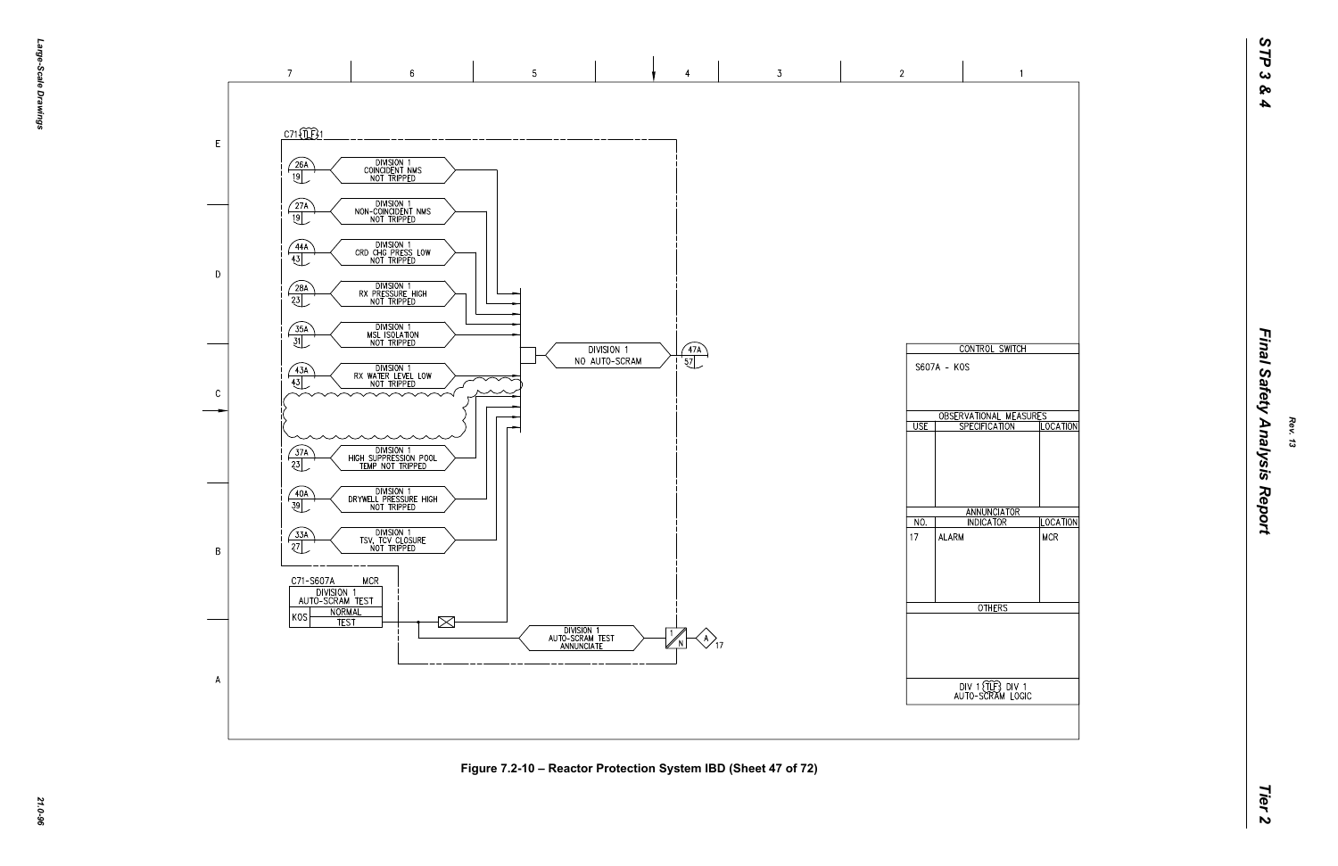

**Figure 7.2-10 – Reactor Protection System IBD (Sheet 47 of 72)**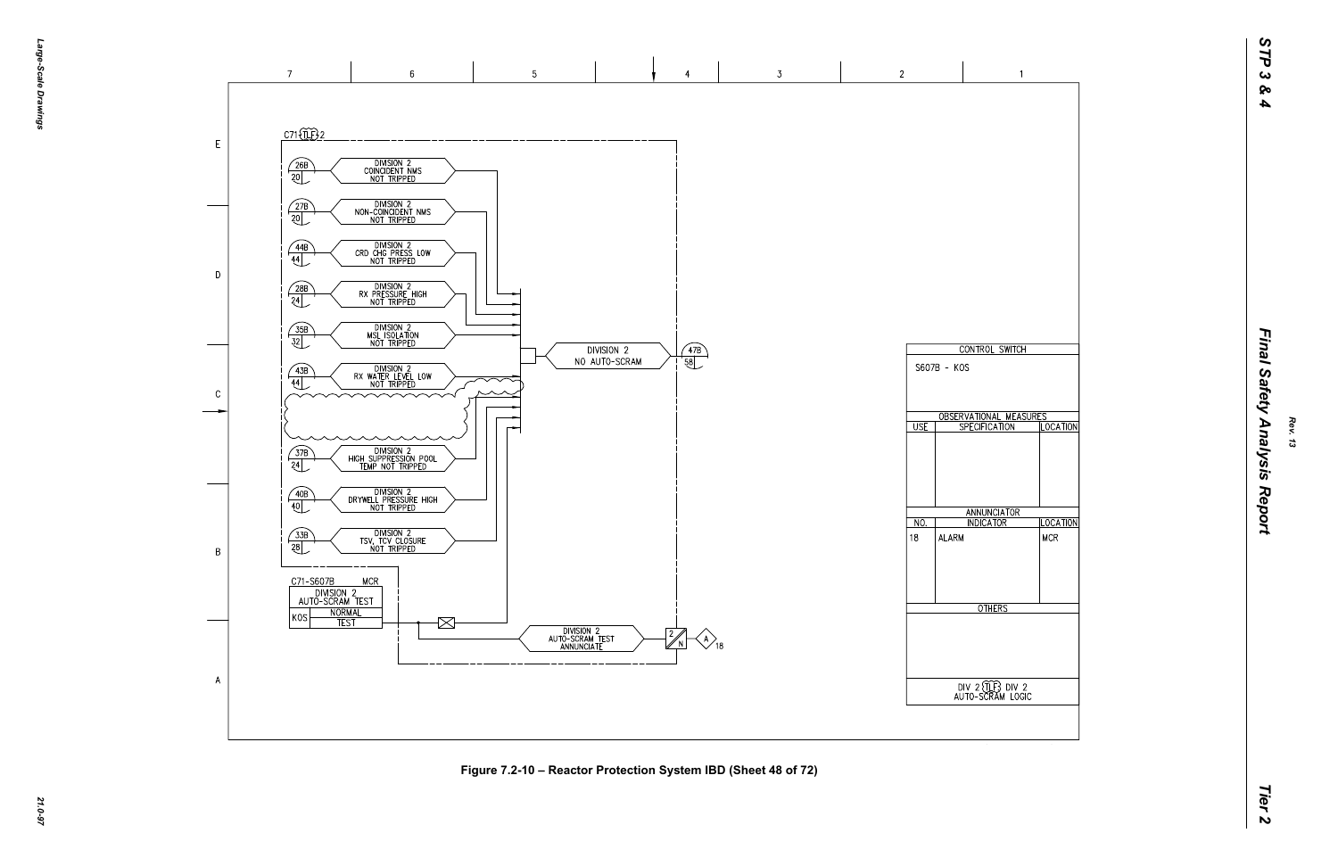

**Figure 7.2-10 – Reactor Protection System IBD (Sheet 48 of 72)**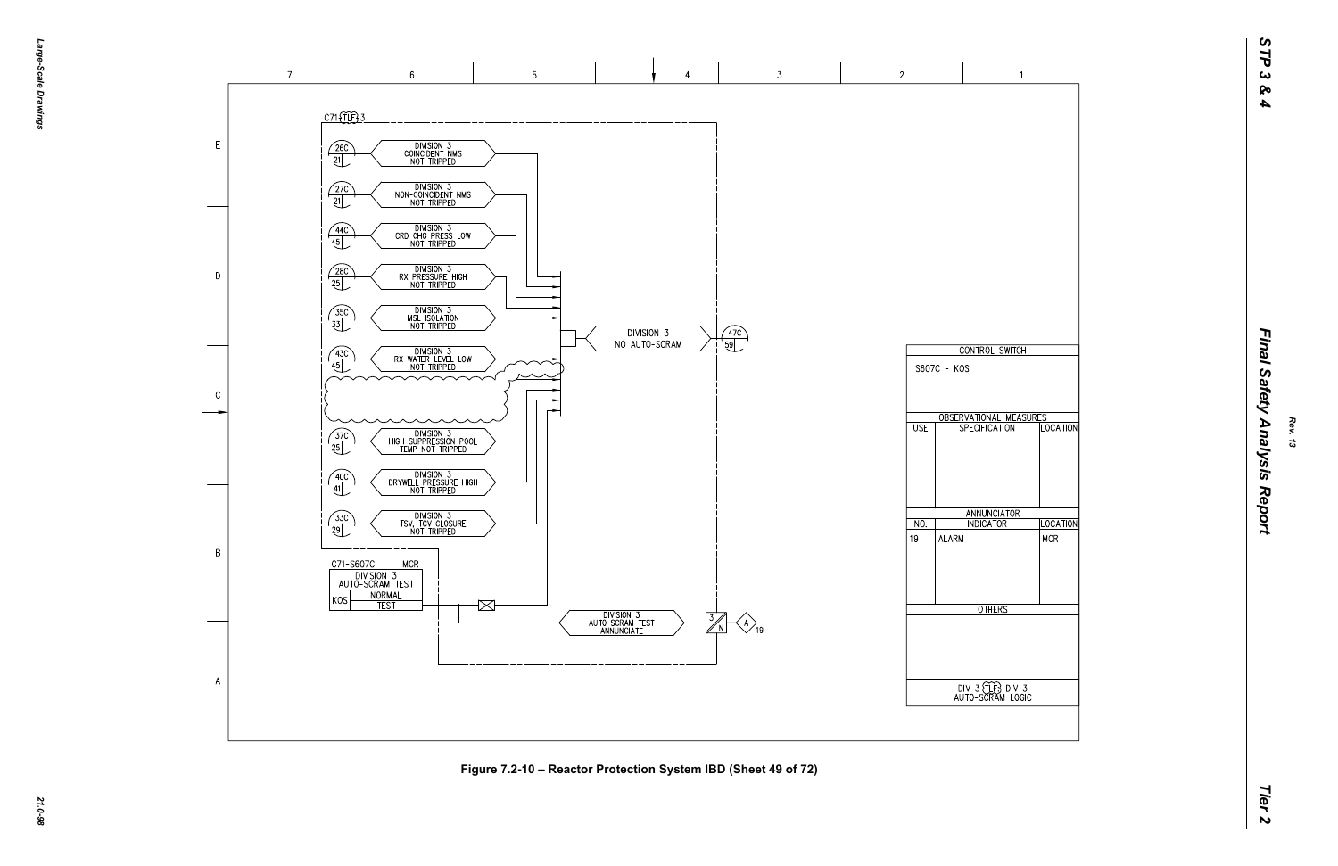

**Figure 7.2-10 – Reactor Protection System IBD (Sheet 49 of 72)**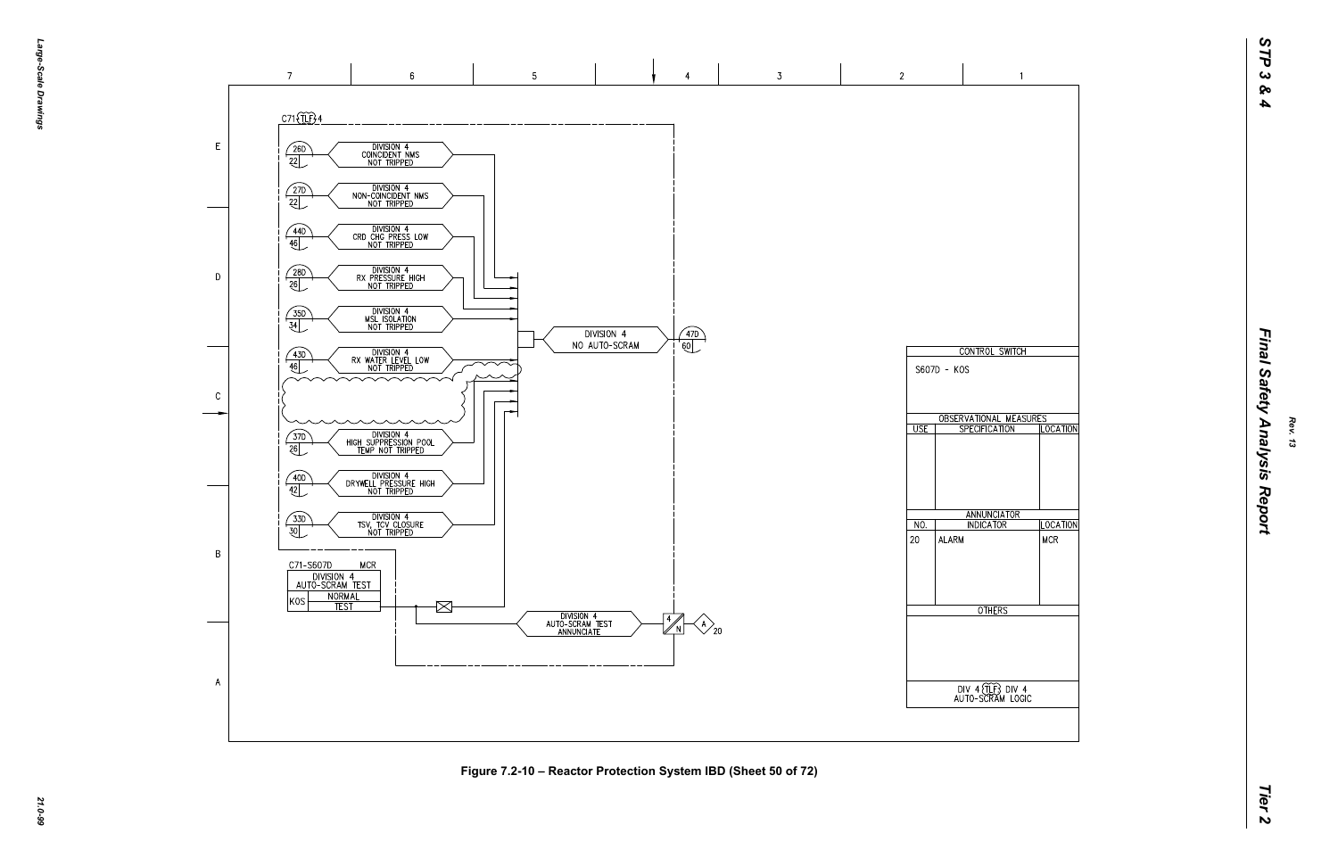![](_page_21_Figure_1.jpeg)

**Figure 7.2-10 – Reactor Protection System IBD (Sheet 50 of 72)**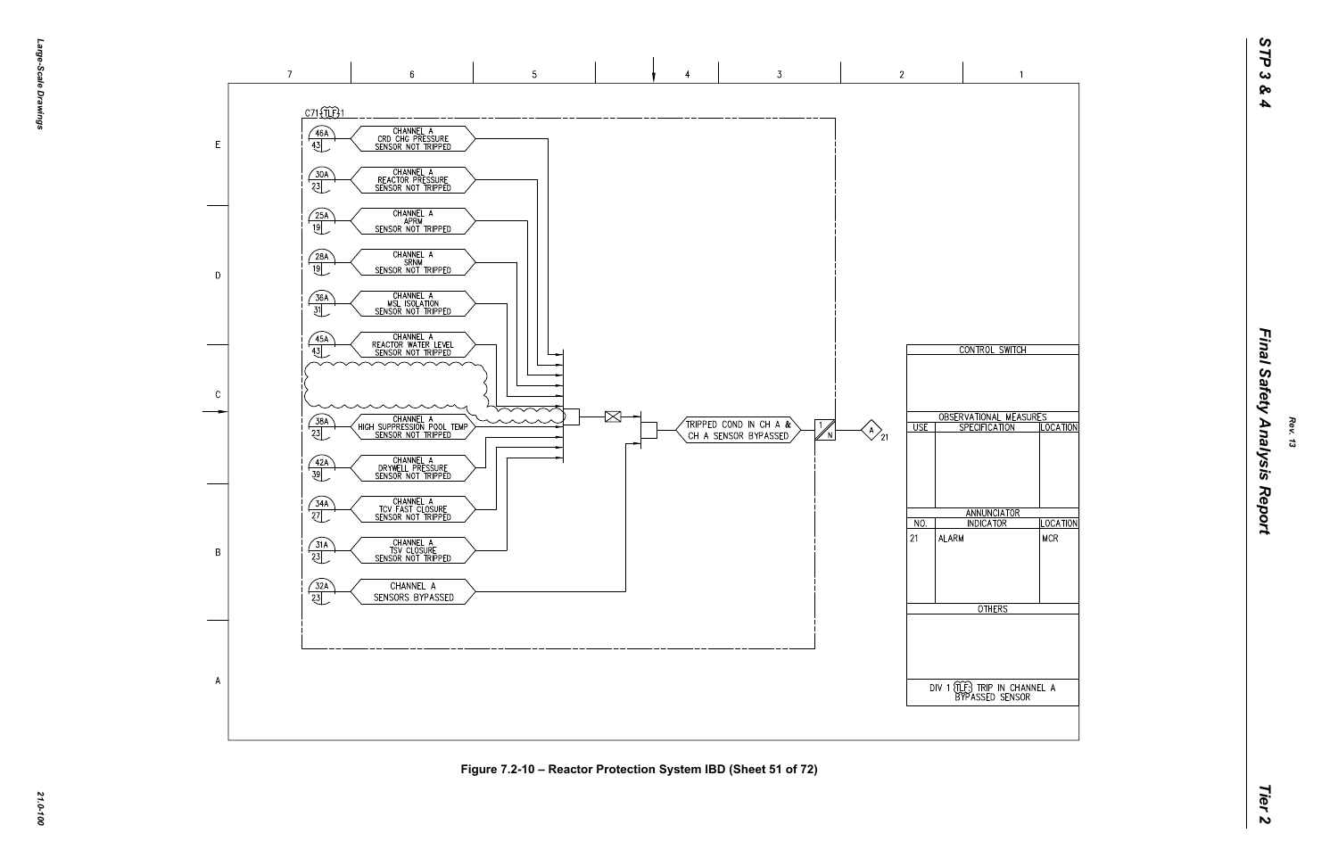![](_page_22_Figure_0.jpeg)

![](_page_22_Figure_1.jpeg)

**Figure 7.2-10 – Reactor Protection System IBD (Sheet 51 of 72)**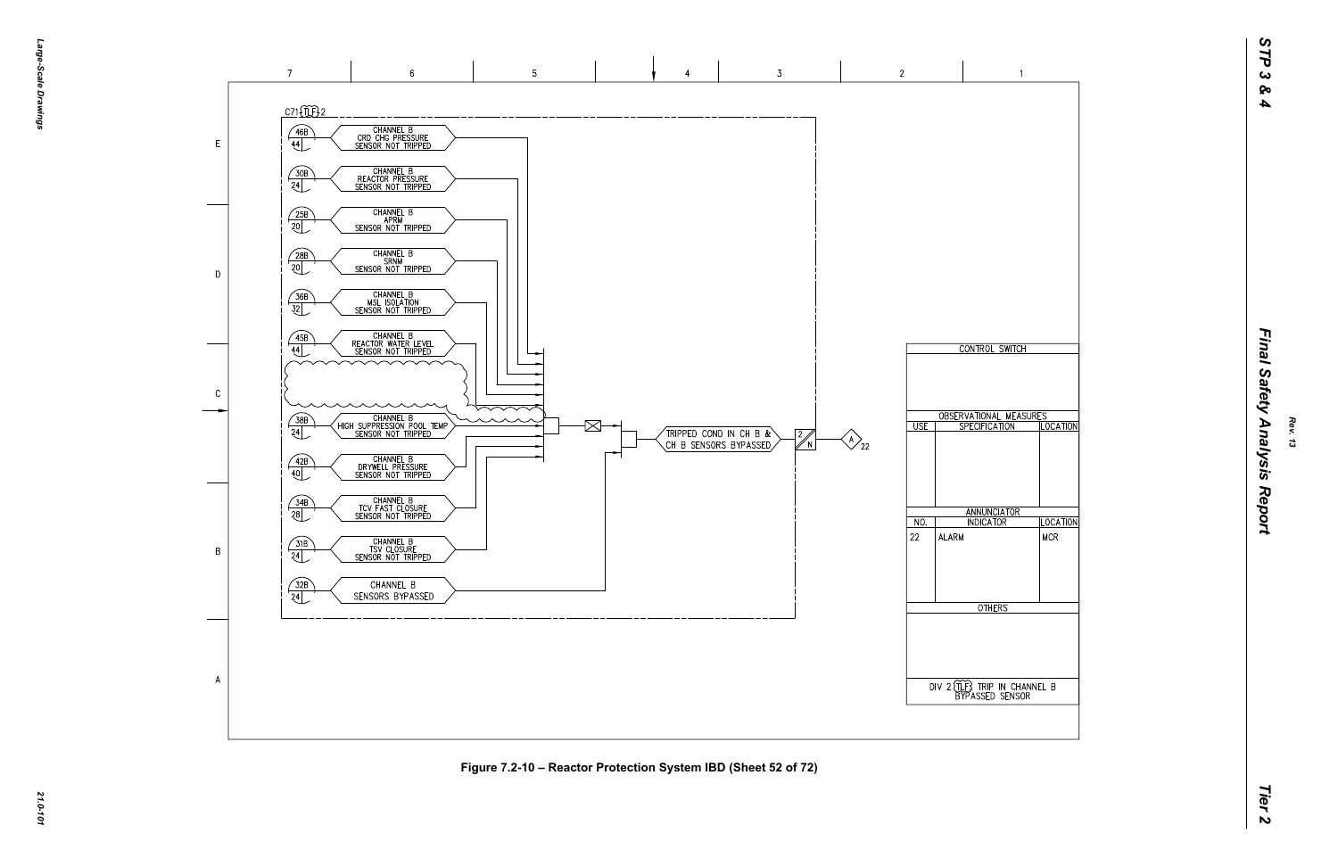![](_page_23_Figure_0.jpeg)

![](_page_23_Figure_1.jpeg)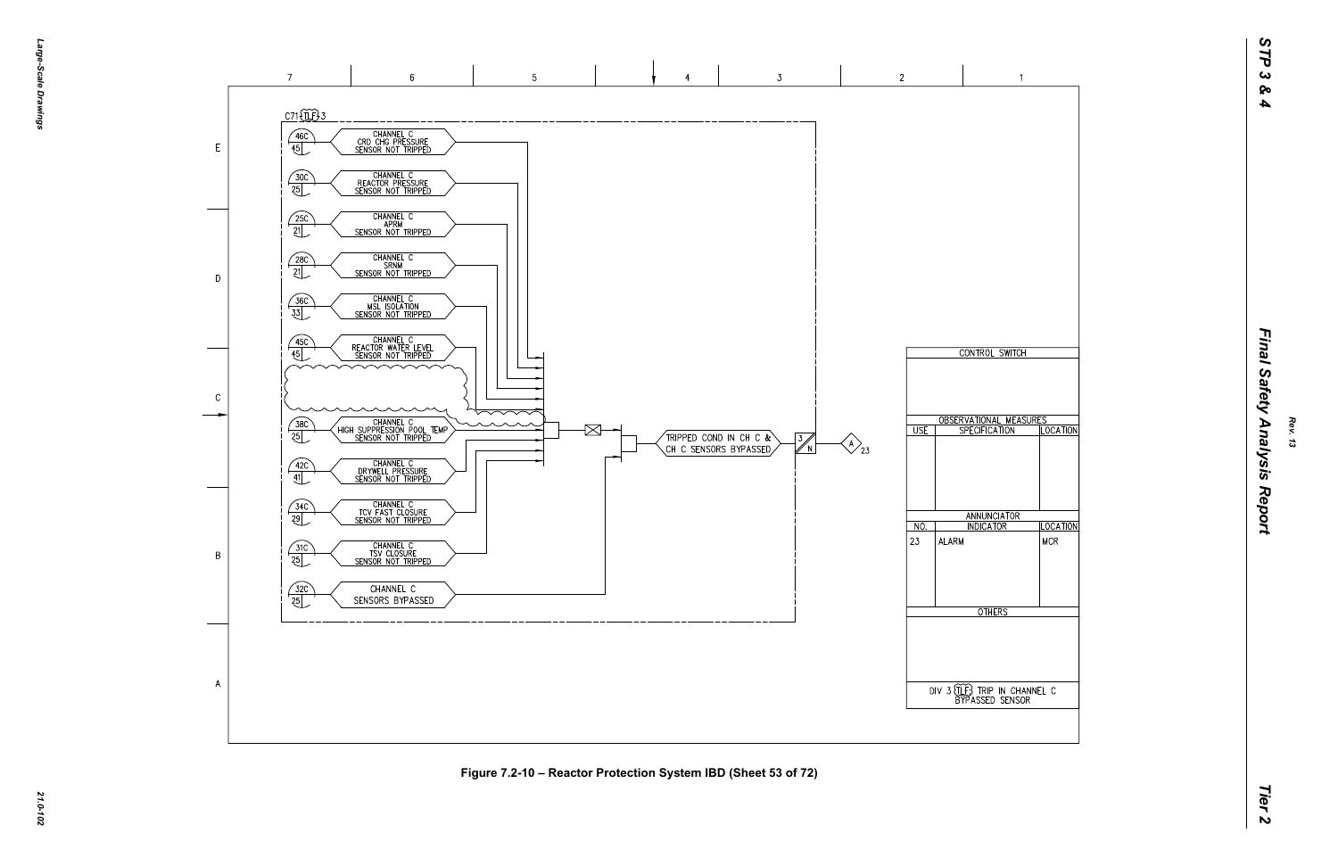![](_page_24_Figure_1.jpeg)

**Figure 7.2-10 – Reactor Protection System IBD (Sheet 53 of 72)**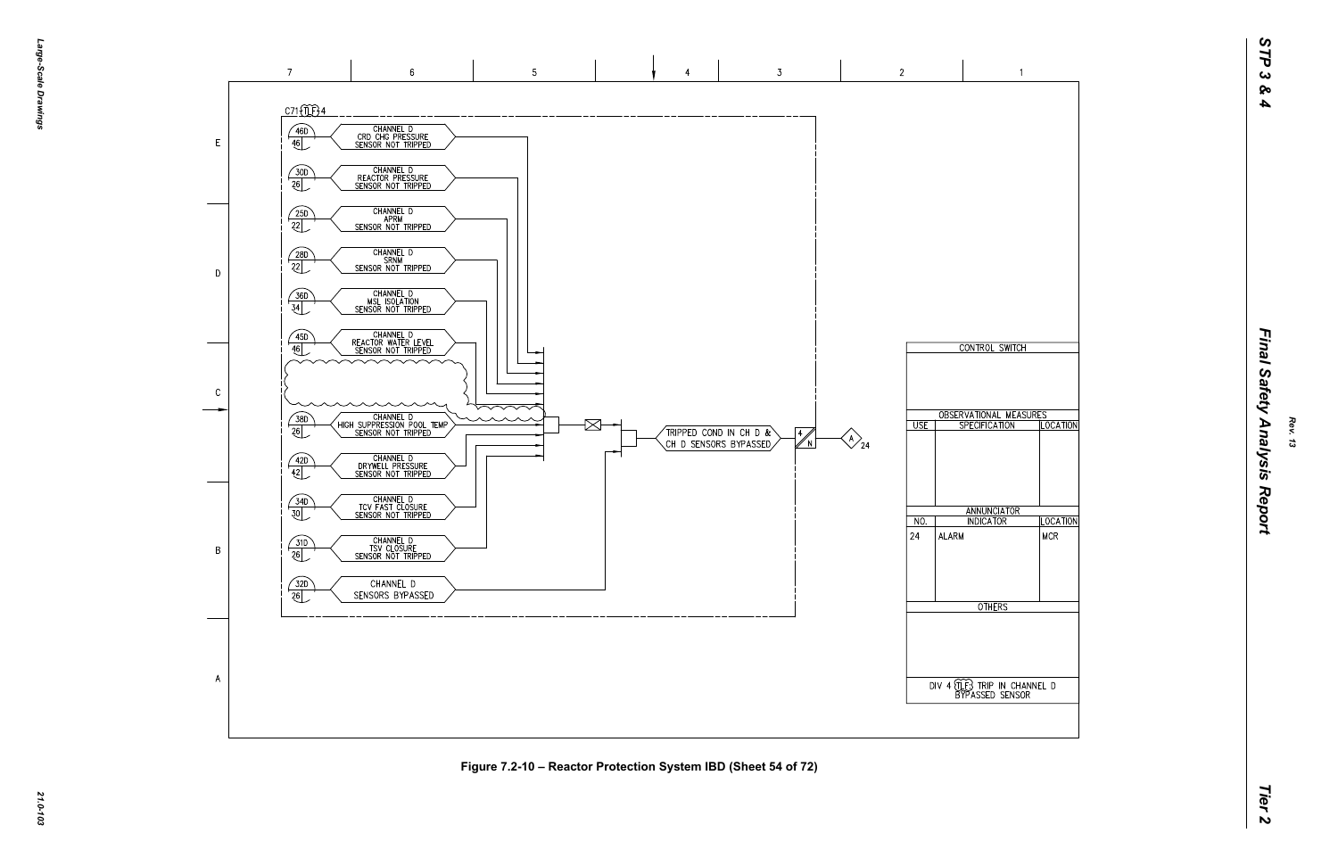![](_page_25_Figure_0.jpeg)

*21.0-103*

 $\overline{A}$ 

**Figure 7.2-10 – Reactor Protection System IBD (Sheet 54 of 72)**

![](_page_25_Figure_4.jpeg)

 $\overline{1}$ 

 $\overline{2}$ 

 $\overline{\cup}$  USE  $\overline{\overline{\big|}}$ 

 $NO.$ 

ALARM

 $|24\rangle$ 

 $\bigotimes_{24}$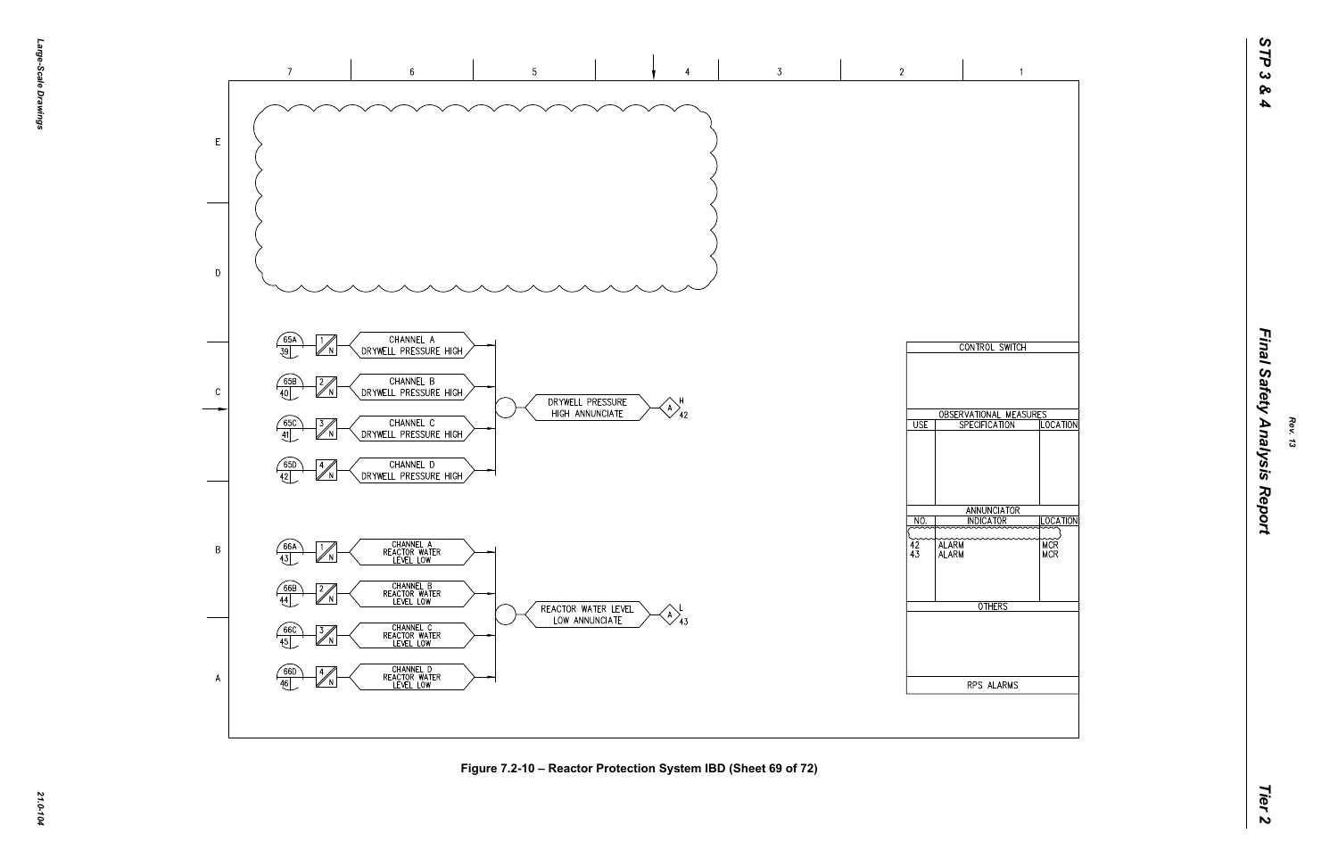![](_page_26_Figure_1.jpeg)

**Figure 7.2-10 – Reactor Protection System IBD (Sheet 69 of 72)**